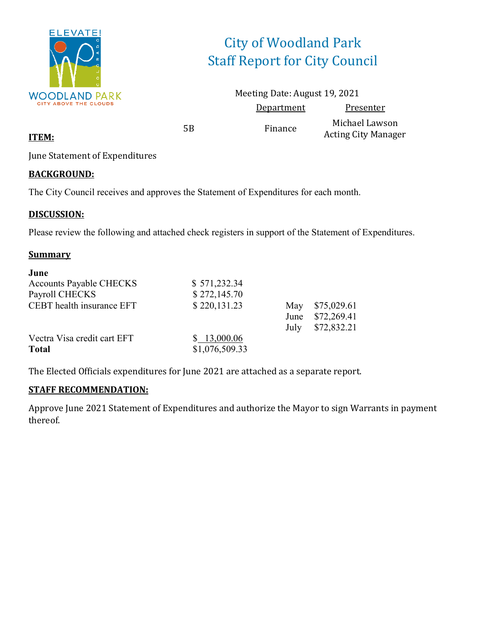

# City of Woodland Park Staff Report for City Council

Meeting Date: August 19, 2021 Department Presenter

5B Finance Michael Lawson Acting City Manager

**ITEM:**

June Statement of Expenditures

### **BACKGROUND:**

The City Council receives and approves the Statement of Expenditures for each month.

### **DISCUSSION:**

Please review the following and attached check registers in support of the Statement of Expenditures.

### **Summary**

| June                           |                |      |             |
|--------------------------------|----------------|------|-------------|
| <b>Accounts Payable CHECKS</b> | \$571,232.34   |      |             |
| Payroll CHECKS                 | \$272,145.70   |      |             |
| CEBT health insurance EFT      | \$220,131.23   | May  | \$75,029.61 |
|                                |                | June | \$72,269.41 |
|                                |                | July | \$72,832.21 |
| Vectra Visa credit cart EFT    | \$13,000.06    |      |             |
| <b>Total</b>                   | \$1,076,509.33 |      |             |

The Elected Officials expenditures for June 2021 are attached as a separate report.

### **STAFF RECOMMENDATION:**

Approve June 2021 Statement of Expenditures and authorize the Mayor to sign Warrants in payment thereof.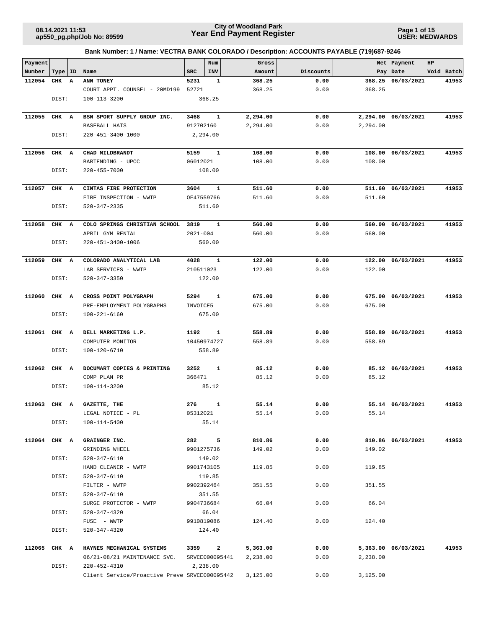**Page 1 of 15 USER: MEDWARDS**

| Payment<br>Number |             | ID           | Name                                          | <b>SRC</b>   | Num<br>INV     | Gross<br>Amount | Discounts | Net           | Payment<br>Date     | HP | Void Batch |
|-------------------|-------------|--------------|-----------------------------------------------|--------------|----------------|-----------------|-----------|---------------|---------------------|----|------------|
| 112054            | Type<br>CHK | $\mathbf{A}$ | ANN TONEY                                     | 5231         | 1              | 368.25          | 0.00      | Pay<br>368.25 | 06/03/2021          |    | 41953      |
|                   |             |              | COURT APPT. COUNSEL - 20MD199                 | 52721        |                | 368.25          | 0.00      | 368.25        |                     |    |            |
|                   | DIST:       |              | 100-113-3200                                  |              | 368.25         |                 |           |               |                     |    |            |
|                   |             |              |                                               |              |                |                 |           |               |                     |    |            |
|                   |             |              |                                               |              |                |                 |           |               |                     |    | 41953      |
| 112055            | CHK A       |              | BSN SPORT SUPPLY GROUP INC.                   | 3468         | 1              | 2,294.00        | 0.00      |               | 2,294.00 06/03/2021 |    |            |
|                   |             |              | BASEBALL HATS                                 | 912702160    |                | 2,294.00        | 0.00      | 2,294.00      |                     |    |            |
|                   | DIST:       |              | 220-451-3400-1000                             |              | 2,294.00       |                 |           |               |                     |    |            |
|                   |             |              |                                               |              |                |                 |           |               |                     |    |            |
| 112056            | CHK A       |              | CHAD MILDBRANDT                               | 5159         | 1              | 108.00          | 0.00      | 108.00        | 06/03/2021          |    | 41953      |
|                   |             |              | BARTENDING - UPCC                             | 06012021     |                | 108.00          | 0.00      | 108.00        |                     |    |            |
|                   | DIST:       |              | 220-455-7000                                  |              | 108.00         |                 |           |               |                     |    |            |
|                   |             |              |                                               |              |                |                 |           |               |                     |    |            |
| 112057            | CHK A       |              | CINTAS FIRE PROTECTION                        | 3604         | 1              | 511.60          | 0.00      |               | 511.60 06/03/2021   |    | 41953      |
|                   |             |              | FIRE INSPECTION - WWTP                        |              | OF47559766     | 511.60          | 0.00      | 511.60        |                     |    |            |
|                   | DIST:       |              | 520-347-2335                                  |              | 511.60         |                 |           |               |                     |    |            |
| 112058            | CHK A       |              | COLO SPRINGS CHRISTIAN SCHOOL                 | 3819         | 1              |                 | 0.00      |               | 560.00 06/03/2021   |    | 41953      |
|                   |             |              |                                               |              |                | 560.00          |           |               |                     |    |            |
|                   |             |              | APRIL GYM RENTAL                              | $2021 - 004$ |                | 560.00          | 0.00      | 560.00        |                     |    |            |
|                   | DIST:       |              | 220-451-3400-1006                             |              | 560.00         |                 |           |               |                     |    |            |
|                   |             |              |                                               |              |                |                 |           |               |                     |    |            |
| 112059            | CHK A       |              | COLORADO ANALYTICAL LAB                       | 4028         | 1              | 122.00          | 0.00      |               | 122.00 06/03/2021   |    | 41953      |
|                   |             |              | LAB SERVICES - WWTP                           | 210511023    |                | 122.00          | 0.00      | 122.00        |                     |    |            |
|                   | DIST:       |              | $520 - 347 - 3350$                            |              | 122.00         |                 |           |               |                     |    |            |
|                   |             |              |                                               |              |                |                 |           |               |                     |    |            |
| 112060            | CHK A       |              | CROSS POINT POLYGRAPH                         | 5294         | $\mathbf{1}$   | 675.00          | 0.00      |               | 675.00 06/03/2021   |    | 41953      |
|                   |             |              | PRE-EMPLOYMENT POLYGRAPHS                     | INVOICE5     |                | 675.00          | 0.00      | 675.00        |                     |    |            |
|                   | DIST:       |              | 100-221-6160                                  |              | 675.00         |                 |           |               |                     |    |            |
| 112061            | CHK A       |              | DELL MARKETING L.P.                           | 1192         | 1              | 558.89          | 0.00      |               | 558.89 06/03/2021   |    | 41953      |
|                   |             |              | COMPUTER MONITOR                              |              | 10450974727    | 558.89          | 0.00      | 558.89        |                     |    |            |
|                   | DIST:       |              | 100-120-6710                                  |              | 558.89         |                 |           |               |                     |    |            |
|                   |             |              |                                               |              |                |                 |           |               |                     |    |            |
| 112062            | CHK A       |              | DOCUMART COPIES & PRINTING                    | 3252         | 1              | 85.12           | 0.00      |               | 85.12 06/03/2021    |    | 41953      |
|                   |             |              | COMP PLAN PR                                  | 366471       |                | 85.12           | 0.00      | 85.12         |                     |    |            |
|                   | DIST:       |              | 100-114-3200                                  |              | 85.12          |                 |           |               |                     |    |            |
|                   |             |              |                                               |              |                |                 |           |               |                     |    |            |
| 112063            | CHK A       |              | GAZETTE, THE                                  | 276          | 1              | 55.14           | 0.00      |               | 55.14 06/03/2021    |    | 41953      |
|                   |             |              | LEGAL NOTICE - PL                             | 05312021     |                | 55.14           | 0.00      | 55.14         |                     |    |            |
|                   | DIST:       |              | 100-114-5400                                  |              | 55.14          |                 |           |               |                     |    |            |
|                   |             |              |                                               |              |                |                 |           |               |                     |    |            |
| 112064 CHK A      |             |              | GRAINGER INC.                                 |              | 282 5          | 810.86          | 0.00      |               | 810.86 06/03/2021   |    | 41953      |
|                   |             |              | GRINDING WHEEL                                |              | 9901275736     | 149.02          | 0.00      | 149.02        |                     |    |            |
|                   | DIST:       |              | 520-347-6110                                  |              | 149.02         |                 |           |               |                     |    |            |
|                   |             |              | HAND CLEANER - WWTP                           |              | 9901743105     | 119.85          | 0.00      | 119.85        |                     |    |            |
|                   | DIST:       |              | 520-347-6110                                  |              | 119.85         |                 |           |               |                     |    |            |
|                   |             |              | FILTER - WWTP                                 |              | 9902392464     | 351.55          | 0.00      | 351.55        |                     |    |            |
|                   | DIST:       |              | 520-347-6110                                  |              | 351.55         |                 |           |               |                     |    |            |
|                   |             |              | SURGE PROTECTOR - WWTP                        |              | 9904736684     | 66.04           | 0.00      | 66.04         |                     |    |            |
|                   | DIST:       |              | 520-347-4320                                  |              | 66.04          |                 |           |               |                     |    |            |
|                   |             |              | FUSE - WWTP                                   |              | 9910819086     | 124.40          | 0.00      | 124.40        |                     |    |            |
|                   | DIST:       |              | 520-347-4320                                  |              | 124.40         |                 |           |               |                     |    |            |
|                   |             |              |                                               |              |                |                 |           |               |                     |    |            |
| 112065 CHK A      |             |              | HAYNES MECHANICAL SYSTEMS                     | 3359         | $\overline{a}$ | 5,363.00        | 0.00      |               | 5,363.00 06/03/2021 |    | 41953      |
|                   |             |              | 06/21-08/21 MAINTENANCE SVC.                  |              | SRVCE000095441 | 2,238.00        | 0.00      | 2,238.00      |                     |    |            |
|                   | DIST:       |              | 220-452-4310                                  |              | 2,238.00       |                 |           |               |                     |    |            |
|                   |             |              | Client Service/Proactive Preve SRVCE000095442 |              |                | 3,125.00        | 0.00      | 3,125.00      |                     |    |            |
|                   |             |              |                                               |              |                |                 |           |               |                     |    |            |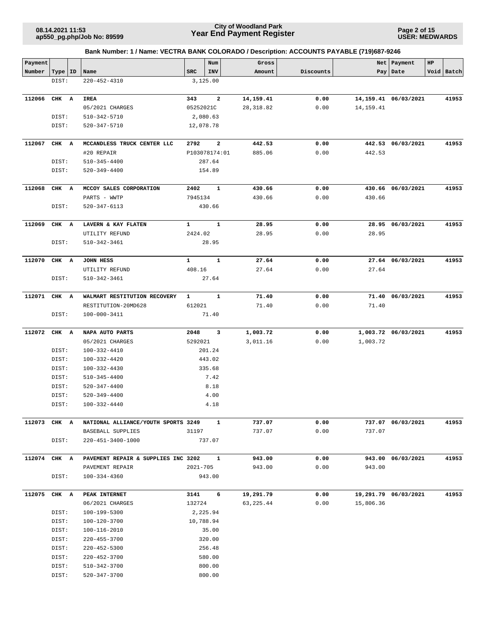**Page 2 of 15 USER: MEDWARDS**

| Payment      |           |                                     |              | Num                     | Gross      |           | Net       | Payment              | HP |            |
|--------------|-----------|-------------------------------------|--------------|-------------------------|------------|-----------|-----------|----------------------|----|------------|
| Number       | Type   ID | Name                                | <b>SRC</b>   | INV                     | Amount     | Discounts |           | Pay   Date           |    | Void Batch |
|              | DIST:     | 220-452-4310                        |              | 3,125.00                |            |           |           |                      |    |            |
|              |           |                                     |              |                         |            |           |           |                      |    |            |
| 112066       | CHK A     | IREA                                | 343          | $\mathbf{2}$            | 14,159.41  | 0.00      |           | 14,159.41 06/03/2021 |    | 41953      |
|              |           | 05/2021 CHARGES                     | 05252021C    |                         | 28, 318.82 | 0.00      | 14,159.41 |                      |    |            |
|              | DIST:     | 510-342-5710                        |              | 2,080.63                |            |           |           |                      |    |            |
|              | DIST:     | 520-347-5710                        |              | 12,078.78               |            |           |           |                      |    |            |
|              |           |                                     |              |                         |            |           |           |                      |    |            |
| 112067       | CHK A     | MCCANDLESS TRUCK CENTER LLC         | 2792         | $\overline{\mathbf{2}}$ | 442.53     | 0.00      |           | 442.53 06/03/2021    |    | 41953      |
|              |           | #20 REPAIR                          |              | P103078174:01           | 885.06     | 0.00      | 442.53    |                      |    |            |
|              | DIST:     | 510-345-4400                        |              | 287.64                  |            |           |           |                      |    |            |
|              | DIST:     | 520-349-4400                        |              | 154.89                  |            |           |           |                      |    |            |
|              |           |                                     |              |                         |            |           |           |                      |    |            |
| 112068       | CHK A     | MCCOY SALES CORPORATION             | 2402         | 1                       | 430.66     | 0.00      |           | 430.66 06/03/2021    |    | 41953      |
|              |           | PARTS - WWTP                        | 7945134      |                         | 430.66     | 0.00      | 430.66    |                      |    |            |
|              | DIST:     | 520-347-6113                        |              | 430.66                  |            |           |           |                      |    |            |
|              |           |                                     |              |                         |            |           |           |                      |    |            |
| 112069       | CHK A     | LAVERN & KAY FLATEN                 | $\mathbf{1}$ | $\mathbf{1}$            | 28.95      | 0.00      |           | 28.95 06/03/2021     |    | 41953      |
|              |           | UTILITY REFUND                      | 2424.02      |                         | 28.95      | 0.00      | 28.95     |                      |    |            |
|              | DIST:     | 510-342-3461                        |              | 28.95                   |            |           |           |                      |    |            |
| 112070       | CHK A     | JOHN HESS                           | $\mathbf{1}$ | $\mathbf{1}$            | 27.64      | 0.00      |           | 27.64 06/03/2021     |    | 41953      |
|              |           | UTILITY REFUND                      | 408.16       |                         | 27.64      | 0.00      | 27.64     |                      |    |            |
|              | DIST:     | 510-342-3461                        |              | 27.64                   |            |           |           |                      |    |            |
|              |           |                                     |              |                         |            |           |           |                      |    |            |
| 112071       | CHK A     | WALMART RESTITUTION RECOVERY        | $\mathbf{1}$ | 1                       | 71.40      | 0.00      |           | 71.40 06/03/2021     |    | 41953      |
|              |           | RESTITUTION-20MD628                 | 612021       |                         | 71.40      | 0.00      | 71.40     |                      |    |            |
|              | DIST:     | 100-000-3411                        |              | 71.40                   |            |           |           |                      |    |            |
|              |           |                                     |              |                         |            |           |           |                      |    |            |
| 112072       | CHK A     | NAPA AUTO PARTS                     | 2048         | 3                       | 1,003.72   | 0.00      |           | 1,003.72 06/03/2021  |    | 41953      |
|              |           | 05/2021 CHARGES                     | 5292021      |                         | 3,011.16   | 0.00      | 1,003.72  |                      |    |            |
|              | DIST:     | 100-332-4410                        |              | 201.24                  |            |           |           |                      |    |            |
|              | DIST:     | 100-332-4420                        |              | 443.02                  |            |           |           |                      |    |            |
|              | DIST:     | 100-332-4430                        |              | 335.68                  |            |           |           |                      |    |            |
|              | DIST:     | 510-345-4400                        |              | 7.42                    |            |           |           |                      |    |            |
|              | DIST:     | 520-347-4400                        |              | 8.18                    |            |           |           |                      |    |            |
|              | DIST:     | 520-349-4400                        |              | 4.00                    |            |           |           |                      |    |            |
|              | DIST:     | 100-332-4440                        |              | 4.18                    |            |           |           |                      |    |            |
|              |           |                                     |              |                         |            |           |           |                      |    |            |
| 112073 CHK A |           | NATIONAL ALLIANCE/YOUTH SPORTS 3249 |              | $\mathbf{1}$            | 737.07     | 0.00      |           | 737.07 06/03/2021    |    | 41953      |
|              |           | BASEBALL SUPPLIES                   | 31197        |                         | 737.07     | 0.00      | 737.07    |                      |    |            |
|              | DIST:     | 220-451-3400-1000                   |              | 737.07                  |            |           |           |                      |    |            |
|              |           |                                     |              |                         |            |           |           |                      |    |            |
| 112074 CHK A |           | PAVEMENT REPAIR & SUPPLIES INC 3202 | 2021-705     | $\mathbf{1}$            | 943.00     | 0.00      | 943.00    | 943.00 06/03/2021    |    | 41953      |
|              | DIST:     | PAVEMENT REPAIR                     |              | 943.00                  | 943.00     | 0.00      |           |                      |    |            |
|              |           | 100-334-4360                        |              |                         |            |           |           |                      |    |            |
| 112075       | CHK A     | PEAK INTERNET                       | 3141         | 6                       | 19,291.79  | 0.00      |           | 19,291.79 06/03/2021 |    | 41953      |
|              |           | 06/2021 CHARGES                     | 132724       |                         | 63,225.44  | 0.00      | 15,806.36 |                      |    |            |
|              | DIST:     | 100-199-5300                        |              | 2,225.94                |            |           |           |                      |    |            |
|              | DIST:     | 100-120-3700                        |              | 10,788.94               |            |           |           |                      |    |            |
|              | DIST:     | 100-116-2010                        |              | 35.00                   |            |           |           |                      |    |            |
|              | DIST:     | 220-455-3700                        |              | 320.00                  |            |           |           |                      |    |            |
|              | DIST:     | 220-452-5300                        |              | 256.48                  |            |           |           |                      |    |            |
|              | DIST:     | 220-452-3700                        |              | 580.00                  |            |           |           |                      |    |            |
|              | DIST:     | 510-342-3700                        |              | 800.00                  |            |           |           |                      |    |            |
|              | DIST:     | 520-347-3700                        |              | 800.00                  |            |           |           |                      |    |            |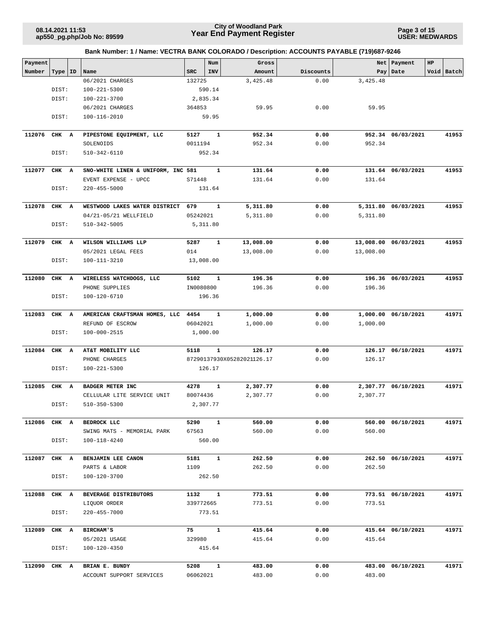**Page 3 of 15 USER: MEDWARDS**

| Payment      |           |                                    |            | Num          | Gross                      |           | Net       | Payment              | HP |            |
|--------------|-----------|------------------------------------|------------|--------------|----------------------------|-----------|-----------|----------------------|----|------------|
| Number       | Type   ID | Name                               | <b>SRC</b> | INV          | Amount                     | Discounts |           | Pay   Date           |    | Void Batch |
|              |           | 06/2021 CHARGES                    | 132725     |              | 3,425.48                   | 0.00      | 3,425.48  |                      |    |            |
|              | DIST:     | $100 - 221 - 5300$                 |            | 590.14       |                            |           |           |                      |    |            |
|              | DIST:     | 100-221-3700                       |            | 2,835.34     |                            |           |           |                      |    |            |
|              |           | 06/2021 CHARGES                    | 364853     |              | 59.95                      | 0.00      | 59.95     |                      |    |            |
|              | DIST:     | 100-116-2010                       |            | 59.95        |                            |           |           |                      |    |            |
| 112076       | CHK A     | PIPESTONE EQUIPMENT, LLC           | 5127       | $\mathbf{1}$ | 952.34                     | 0.00      |           | 952.34 06/03/2021    |    | 41953      |
|              |           | SOLENOIDS                          | 0011194    |              | 952.34                     | 0.00      | 952.34    |                      |    |            |
|              | DIST:     | 510-342-6110                       |            | 952.34       |                            |           |           |                      |    |            |
| 112077       | CHK A     | SNO-WHITE LINEN & UNIFORM, INC 581 |            | 1            | 131.64                     | 0.00      |           | 131.64 06/03/2021    |    | 41953      |
|              |           | EVENT EXPENSE - UPCC               | S71448     |              | 131.64                     | 0.00      | 131.64    |                      |    |            |
|              | DIST:     | $220 - 455 - 5000$                 |            | 131.64       |                            |           |           |                      |    |            |
| 112078       | CHK A     | WESTWOOD LAKES WATER DISTRICT      | 679        | $\mathbf{1}$ | 5,311.80                   | 0.00      |           | 5,311.80 06/03/2021  |    | 41953      |
|              |           | 04/21-05/21 WELLFIELD              | 05242021   |              | 5,311.80                   | 0.00      | 5,311.80  |                      |    |            |
|              | DIST:     | 510-342-5005                       |            | 5,311.80     |                            |           |           |                      |    |            |
| 112079       | CHK A     | WILSON WILLIAMS LLP                | 5287       | 1            | 13,008.00                  | 0.00      |           | 13,008.00 06/03/2021 |    | 41953      |
|              |           | 05/2021 LEGAL FEES                 | 014        |              | 13,008.00                  | 0.00      | 13,008.00 |                      |    |            |
|              | DIST:     | 100-111-3210                       | 13,008.00  |              |                            |           |           |                      |    |            |
| 112080       | CHK A     | WIRELESS WATCHDOGS, LLC            | 5102       | $\mathbf{1}$ | 196.36                     | 0.00      |           | 196.36 06/03/2021    |    | 41953      |
|              |           | PHONE SUPPLIES                     | IN0080800  |              | 196.36                     | 0.00      | 196.36    |                      |    |            |
|              | DIST:     | 100-120-6710                       |            | 196.36       |                            |           |           |                      |    |            |
| 112083       | CHK A     | AMERICAN CRAFTSMAN HOMES, LLC 4454 |            | 1            | 1,000.00                   | 0.00      | 1,000.00  | 06/10/2021           |    | 41971      |
|              |           | REFUND OF ESCROW                   | 06042021   |              | 1,000.00                   | 0.00      | 1,000.00  |                      |    |            |
|              | DIST:     | 100-000-2515                       |            | 1,000.00     |                            |           |           |                      |    |            |
| 112084       | CHK A     | AT&T MOBILITY LLC                  | 5118       | $\mathbf{1}$ | 126.17                     | 0.00      |           | 126.17 06/10/2021    |    | 41971      |
|              |           | PHONE CHARGES                      |            |              | 87290137930X05282021126.17 | 0.00      | 126.17    |                      |    |            |
|              | DIST:     | $100 - 221 - 5300$                 |            | 126.17       |                            |           |           |                      |    |            |
| 112085       | CHK A     | BADGER METER INC                   | 4278       | $\mathbf{1}$ | 2,307.77                   | 0.00      |           | 2,307.77 06/10/2021  |    | 41971      |
|              |           | CELLULAR LITE SERVICE UNIT         | 80074436   |              | 2,307.77                   | 0.00      | 2,307.77  |                      |    |            |
|              | DIST:     | $510 - 350 - 5300$                 |            | 2,307.77     |                            |           |           |                      |    |            |
| 112086 CHK A |           | BEDROCK LLC                        | 5290       | $\mathbf{1}$ | 560.00                     | 0.00      |           | 560.00 06/10/2021    |    | 41971      |
|              |           | SWING MATS - MEMORIAL PARK         | 67563      |              | 560.00                     | 0.00      | 560.00    |                      |    |            |
|              | DIST:     | 100-118-4240                       |            | 560.00       |                            |           |           |                      |    |            |
| 112087       | CHK A     | BENJAMIN LEE CANON                 | 5181       | $\mathbf{1}$ | 262.50                     | 0.00      |           | 262.50 06/10/2021    |    | 41971      |
|              |           | PARTS & LABOR                      | 1109       |              | 262.50                     | 0.00      | 262.50    |                      |    |            |
|              | DIST:     | 100-120-3700                       |            | 262.50       |                            |           |           |                      |    |            |
| 112088 CHK A |           | BEVERAGE DISTRIBUTORS              | 1132 1     |              | 773.51                     | 0.00      |           | 773.51 06/10/2021    |    | 41971      |
|              |           | LIQUOR ORDER                       | 339772665  |              | 773.51                     | 0.00      | 773.51    |                      |    |            |
|              | DIST:     | 220-455-7000                       |            | 773.51       |                            |           |           |                      |    |            |
| 112089       | CHK A     | <b>BIRCHAM'S</b>                   | 75         | $\mathbf{1}$ | 415.64                     | 0.00      |           | 415.64 06/10/2021    |    | 41971      |
|              |           | 05/2021 USAGE                      | 329980     |              | 415.64                     | 0.00      | 415.64    |                      |    |            |
|              | DIST:     | 100-120-4350                       |            | 415.64       |                            |           |           |                      |    |            |
| 112090 CHK A |           | BRIAN E. BUNDY                     | 5208       | $\mathbf{1}$ | 483.00                     | 0.00      |           | 483.00 06/10/2021    |    | 41971      |
|              |           | ACCOUNT SUPPORT SERVICES           | 06062021   |              | 483.00                     | 0.00      | 483.00    |                      |    |            |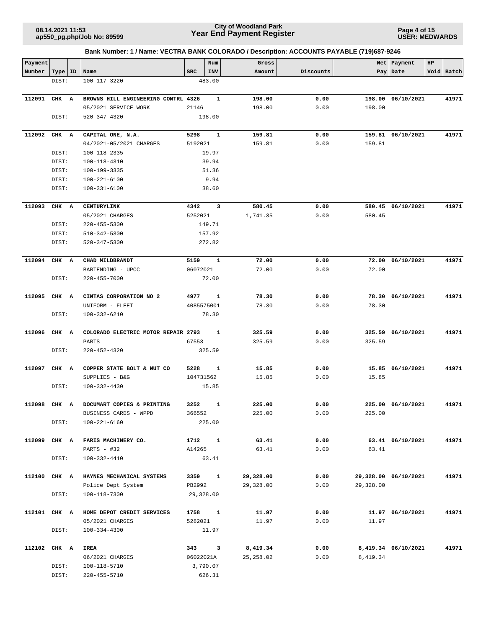**Page 4 of 15 USER: MEDWARDS**

| Payment |       |    |                                     |            | Num          | Gross      |           | Net       | Payment              | HP |            |
|---------|-------|----|-------------------------------------|------------|--------------|------------|-----------|-----------|----------------------|----|------------|
| Number  | Type  | ID | Name                                | <b>SRC</b> | INV          | Amount     | Discounts |           | Pay   Date           |    | Void Batch |
|         | DIST: |    | 100-117-3220                        |            | 483.00       |            |           |           |                      |    |            |
|         |       |    |                                     |            |              |            |           |           |                      |    |            |
| 112091  | CHK A |    | BROWNS HILL ENGINEERING CONTRL 4326 |            | 1            | 198.00     | 0.00      | 198.00    | 06/10/2021           |    | 41971      |
|         |       |    | 05/2021 SERVICE WORK                | 21146      |              | 198.00     | 0.00      | 198.00    |                      |    |            |
|         | DIST: |    | 520-347-4320                        |            | 198.00       |            |           |           |                      |    |            |
| 112092  | CHK A |    | CAPITAL ONE, N.A.                   | 5298       | 1            | 159.81     | 0.00      |           | 159.81 06/10/2021    |    | 41971      |
|         |       |    | 04/2021-05/2021 CHARGES             | 5192021    |              | 159.81     | 0.00      | 159.81    |                      |    |            |
|         | DIST: |    | 100-118-2335                        |            | 19.97        |            |           |           |                      |    |            |
|         | DIST: |    | 100-118-4310                        |            | 39.94        |            |           |           |                      |    |            |
|         | DIST: |    | 100-199-3335                        |            | 51.36        |            |           |           |                      |    |            |
|         | DIST: |    | 100-221-6100                        |            | 9.94         |            |           |           |                      |    |            |
|         | DIST: |    | $100 - 331 - 6100$                  |            | 38.60        |            |           |           |                      |    |            |
| 112093  | CHK A |    | CENTURYLINK                         | 4342       | 3            | 580.45     | 0.00      |           | 580.45 06/10/2021    |    | 41971      |
|         |       |    | 05/2021 CHARGES                     | 5252021    |              | 1,741.35   | 0.00      | 580.45    |                      |    |            |
|         | DIST: |    | $220 - 455 - 5300$                  |            | 149.71       |            |           |           |                      |    |            |
|         | DIST: |    | 510-342-5300                        |            | 157.92       |            |           |           |                      |    |            |
|         | DIST: |    | 520-347-5300                        |            | 272.82       |            |           |           |                      |    |            |
|         |       |    |                                     |            |              |            |           |           |                      |    |            |
| 112094  | CHK A |    | CHAD MILDBRANDT                     | 5159       | $\mathbf{1}$ | 72.00      | 0.00      |           | 72.00 06/10/2021     |    | 41971      |
|         |       |    | BARTENDING - UPCC                   | 06072021   |              | 72.00      | 0.00      | 72.00     |                      |    |            |
|         | DIST: |    | 220-455-7000                        |            | 72.00        |            |           |           |                      |    |            |
|         |       |    |                                     |            |              |            |           |           |                      |    |            |
| 112095  | CHK A |    | CINTAS CORPORATION NO 2             | 4977       | 1            | 78.30      | 0.00      |           | 78.30 06/10/2021     |    | 41971      |
|         |       |    | UNIFORM - FLEET                     | 4085575001 |              | 78.30      | 0.00      | 78.30     |                      |    |            |
|         | DIST: |    | 100-332-6210                        |            | 78.30        |            |           |           |                      |    |            |
| 112096  | CHK A |    | COLORADO ELECTRIC MOTOR REPAIR 2793 |            | 1            | 325.59     | 0.00      |           | 325.59 06/10/2021    |    | 41971      |
|         |       |    | PARTS                               | 67553      |              | 325.59     | 0.00      | 325.59    |                      |    |            |
|         | DIST: |    | $220 - 452 - 4320$                  |            | 325.59       |            |           |           |                      |    |            |
| 112097  | CHK A |    | COPPER STATE BOLT & NUT CO          | 5228       | 1            | 15.85      | 0.00      |           | 15.85 06/10/2021     |    | 41971      |
|         |       |    | SUPPLIES - B&G                      | 104731562  |              | 15.85      | 0.00      | 15.85     |                      |    |            |
|         | DIST: |    | $100 - 332 - 4430$                  |            | 15.85        |            |           |           |                      |    |            |
|         |       |    |                                     |            |              |            |           |           |                      |    |            |
| 112098  | CHK A |    | DOCUMART COPIES & PRINTING          | 3252       | 1            | 225.00     | 0.00      | 225.00    | 225.00 06/10/2021    |    | 41971      |
|         |       |    | BUSINESS CARDS - WPPD               | 366552     |              | 225.00     | 0.00      |           |                      |    |            |
|         | DIST: |    | 100-221-6160                        |            | 225.00       |            |           |           |                      |    |            |
| 112099  | CHK A |    | FARIS MACHINERY CO.                 | 1712       | $\mathbf{1}$ | 63.41      | 0.00      |           | 63.41 06/10/2021     |    | 41971      |
|         |       |    | PARTS - #32                         | A14265     |              | 63.41      | 0.00      | 63.41     |                      |    |            |
|         | DIST: |    | 100-332-4410                        |            | 63.41        |            |           |           |                      |    |            |
| 112100  | CHK A |    | HAYNES MECHANICAL SYSTEMS           | 3359       | $\mathbf{1}$ | 29,328.00  | 0.00      |           | 29,328.00 06/10/2021 |    | 41971      |
|         |       |    | Police Dept System                  | PB2992     |              | 29,328.00  | 0.00      | 29,328.00 |                      |    |            |
|         | DIST: |    | 100-118-7300                        | 29,328.00  |              |            |           |           |                      |    |            |
|         |       |    |                                     |            |              |            |           |           |                      |    |            |
| 112101  | CHK A |    | HOME DEPOT CREDIT SERVICES          | 1758       | $\mathbf{1}$ | 11.97      | 0.00      |           | 11.97 06/10/2021     |    | 41971      |
|         |       |    | 05/2021 CHARGES                     | 5282021    |              | 11.97      | 0.00      | 11.97     |                      |    |            |
|         | DIST: |    | 100-334-4300                        |            | 11.97        |            |           |           |                      |    |            |
| 112102  | CHK A |    | <b>IREA</b>                         | 343        | $\mathbf{3}$ | 8,419.34   | 0.00      |           | 8,419.34 06/10/2021  |    | 41971      |
|         |       |    | 06/2021 CHARGES                     | 06022021A  |              | 25, 258.02 | 0.00      | 8,419.34  |                      |    |            |
|         | DIST: |    | 100-118-5710                        |            | 3,790.07     |            |           |           |                      |    |            |
|         | DIST: |    | $220 - 455 - 5710$                  |            | 626.31       |            |           |           |                      |    |            |
|         |       |    |                                     |            |              |            |           |           |                      |    |            |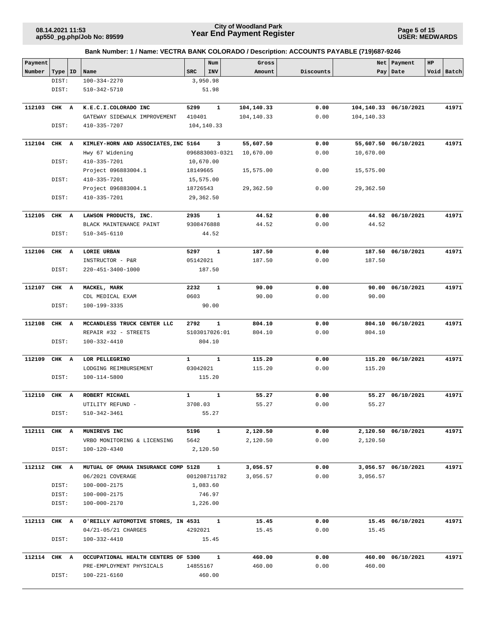## **Year End Payment Register City of Woodland Park 08.14.2021 11:53**

**Page 5 of 15 USER: MEDWARDS**

| Payment      |           |                                                         |              | Num                          | Gross                |              |            | Net   Payment         | HP |            |
|--------------|-----------|---------------------------------------------------------|--------------|------------------------------|----------------------|--------------|------------|-----------------------|----|------------|
| Number       | Type   ID | Name                                                    | <b>SRC</b>   | INV                          | Amount               | Discounts    |            | Pay Date              |    | Void Batch |
|              | DIST:     | 100-334-2270                                            |              | 3,950.98                     |                      |              |            |                       |    |            |
|              | DIST:     | 510-342-5710                                            |              | 51.98                        |                      |              |            |                       |    |            |
|              |           |                                                         |              |                              |                      |              |            |                       |    |            |
| 112103       | CHK A     | K.E.C.I.COLORADO INC                                    | 5299         | $\mathbf{1}$                 | 104,140.33           | 0.00         |            | 104,140.33 06/10/2021 |    | 41971      |
|              |           | GATEWAY SIDEWALK IMPROVEMENT                            | 410401       |                              | 104,140.33           | 0.00         | 104,140.33 |                       |    |            |
|              | DIST:     | 410-335-7207                                            |              | 104,140.33                   |                      |              |            |                       |    |            |
|              |           |                                                         |              |                              |                      |              |            |                       |    |            |
| 112104       | CHK A     | KIMLEY-HORN AND ASSOCIATES, INC 5164                    |              | 3                            | 55,607.50            | 0.00         |            | 55,607.50 06/10/2021  |    | 41971      |
|              |           | Hwy 67 Widening                                         |              | 096883003-0321               | 10,670.00            | 0.00         | 10,670.00  |                       |    |            |
|              | DIST:     | 410-335-7201                                            | 10,670.00    |                              |                      |              |            |                       |    |            |
|              |           | Project 096883004.1                                     | 18149665     |                              | 15,575.00            | 0.00         | 15,575.00  |                       |    |            |
|              | DIST:     | 410-335-7201                                            | 15,575.00    |                              |                      |              |            |                       |    |            |
|              |           |                                                         |              |                              |                      |              |            |                       |    |            |
|              |           | Project 096883004.1                                     | 18726543     |                              | 29,362.50            | 0.00         | 29,362.50  |                       |    |            |
|              | DIST:     | 410-335-7201                                            |              | 29,362.50                    |                      |              |            |                       |    |            |
| 112105       | CHK A     | LAWSON PRODUCTS, INC.                                   | 2935         | 1                            | 44.52                | 0.00         |            | 44.52 06/10/2021      |    | 41971      |
|              |           | BLACK MAINTENANCE PAINT                                 | 9308476888   |                              | 44.52                | 0.00         | 44.52      |                       |    |            |
|              |           |                                                         |              |                              |                      |              |            |                       |    |            |
|              | DIST:     | 510-345-6110                                            |              | 44.52                        |                      |              |            |                       |    |            |
| 112106       |           |                                                         | 5297         | $\mathbf{1}$                 |                      | 0.00         |            | 187.50 06/10/2021     |    | 41971      |
|              | CHK A     | LORIE URBAN                                             |              |                              | 187.50               |              |            |                       |    |            |
|              |           | INSTRUCTOR - P&R                                        | 05142021     |                              | 187.50               | 0.00         | 187.50     |                       |    |            |
|              | DIST:     | 220-451-3400-1000                                       |              | 187.50                       |                      |              |            |                       |    |            |
| 112107       | CHK A     | MACKEL, MARK                                            | 2232         | 1                            | 90.00                | 0.00         | 90.00      | 06/10/2021            |    | 41971      |
|              |           |                                                         | 0603         |                              |                      | 0.00         | 90.00      |                       |    |            |
|              |           | CDL MEDICAL EXAM                                        |              |                              | 90.00                |              |            |                       |    |            |
|              | DIST:     | 100-199-3335                                            |              | 90.00                        |                      |              |            |                       |    |            |
| 112108       | CHK A     | MCCANDLESS TRUCK CENTER LLC                             | 2792         | $\mathbf{1}$                 | 804.10               | 0.00         |            | 804.10 06/10/2021     |    | 41971      |
|              |           |                                                         |              |                              |                      |              |            |                       |    |            |
|              |           | REPAIR #32 - STREETS                                    |              | S103017026:01                | 804.10               | 0.00         | 804.10     |                       |    |            |
|              | DIST:     | 100-332-4410                                            |              | 804.10                       |                      |              |            |                       |    |            |
| 112109       | CHK A     | LOR PELLEGRINO                                          | $\mathbf{1}$ | 1                            | 115.20               | 0.00         |            | 115.20 06/10/2021     |    | 41971      |
|              |           | LODGING REIMBURSEMENT                                   | 03042021     |                              | 115.20               | 0.00         | 115.20     |                       |    |            |
|              |           |                                                         |              |                              |                      |              |            |                       |    |            |
|              | DIST:     | 100-114-5800                                            |              | 115.20                       |                      |              |            |                       |    |            |
| 112110       | CHK A     | ROBERT MICHAEL                                          | $\mathbf{1}$ | 1                            | 55.27                | 0.00         |            | 55.27 06/10/2021      |    | 41971      |
|              |           | UTILITY REFUND -                                        | 3708.03      |                              | 55.27                | 0.00         | 55.27      |                       |    |            |
|              |           |                                                         |              | 55.27                        |                      |              |            |                       |    |            |
|              | DIST:     | 510-342-3461                                            |              |                              |                      |              |            |                       |    |            |
| 112111 CHK A |           | MUNIREVS INC                                            | 5196         | $\mathbf{1}$                 | 2,120.50             | 0.00         |            |                       |    | 41971      |
|              |           |                                                         |              |                              |                      |              | 2,120.50   | 2,120.50 06/10/2021   |    |            |
|              |           | VRBO MONITORING & LICENSING                             | 5642         |                              | 2,120.50             | 0.00         |            |                       |    |            |
|              | DIST:     | 100-120-4340                                            |              | 2,120.50                     |                      |              |            |                       |    |            |
|              |           |                                                         |              |                              |                      |              |            |                       |    |            |
| 112112       | CHK A     | MUTUAL OF OMAHA INSURANCE COMP 5128<br>06/2021 COVERAGE |              | $\mathbf{1}$<br>001208711782 | 3,056.57<br>3,056.57 | 0.00<br>0.00 | 3,056.57   | 3,056.57 06/10/2021   |    | 41971      |
|              |           |                                                         |              |                              |                      |              |            |                       |    |            |
|              | DIST:     | 100-000-2175                                            |              | 1,083.60                     |                      |              |            |                       |    |            |
|              | DIST:     | 100-000-2175                                            |              | 746.97                       |                      |              |            |                       |    |            |
|              | DIST:     | 100-000-2170                                            |              | 1,226.00                     |                      |              |            |                       |    |            |
|              |           |                                                         |              |                              |                      |              |            |                       |    |            |
| 112113       | CHK A     | O'REILLY AUTOMOTIVE STORES, IN 4531                     |              | $\mathbf{1}$                 | 15.45                | 0.00         |            | 15.45 06/10/2021      |    | 41971      |
|              |           | 04/21-05/21 CHARGES                                     | 4292021      |                              | 15.45                | 0.00         | 15.45      |                       |    |            |
|              | DIST:     | 100-332-4410                                            |              | 15.45                        |                      |              |            |                       |    |            |
|              |           |                                                         |              |                              |                      |              |            |                       |    |            |
| 112114 CHK A |           | OCCUPATIONAL HEALTH CENTERS OF 5300                     |              | $\mathbf{1}$                 | 460.00               | 0.00         |            | 460.00 06/10/2021     |    | 41971      |
|              |           | PRE-EMPLOYMENT PHYSICALS                                | 14855167     |                              | 460.00               | 0.00         | 460.00     |                       |    |            |
|              | DIST:     | 100-221-6160                                            |              | 460.00                       |                      |              |            |                       |    |            |
|              |           |                                                         |              |                              |                      |              |            |                       |    |            |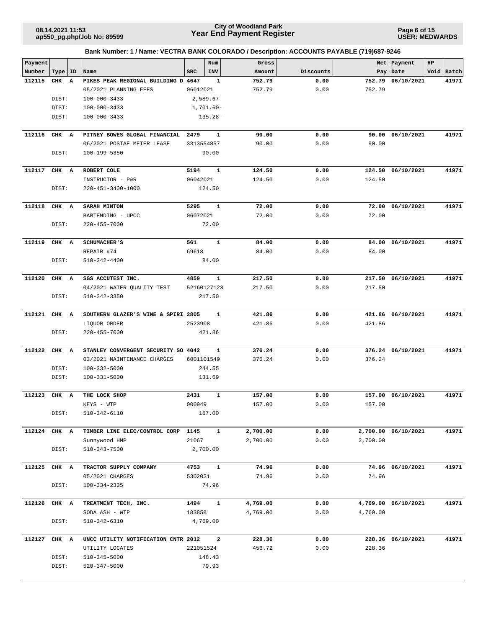**Page 6 of 15 USER: MEDWARDS**

| Payment<br>Number<br>112115<br>112116 | Type<br>CHK<br>DIST:<br>DIST: | ID<br>$\mathbf{A}$ | Name<br>PIKES PEAK REGIONAL BUILDING D 4647 | SRC        | Num<br>INV<br>$\mathbf{1}$ | Gross<br>Amount | Discounts |          | Net   Payment<br>Pay   Date | HP<br>Void Batch |       |
|---------------------------------------|-------------------------------|--------------------|---------------------------------------------|------------|----------------------------|-----------------|-----------|----------|-----------------------------|------------------|-------|
|                                       |                               |                    |                                             |            |                            |                 |           |          |                             |                  |       |
|                                       |                               |                    |                                             |            |                            |                 |           |          |                             |                  |       |
|                                       |                               |                    |                                             |            |                            | 752.79          | 0.00      | 752.79   | 06/10/2021                  |                  | 41971 |
|                                       |                               |                    | 05/2021 PLANNING FEES                       | 06012021   |                            | 752.79          | 0.00      | 752.79   |                             |                  |       |
|                                       |                               |                    | $100 - 000 - 3433$                          |            | 2,589.67                   |                 |           |          |                             |                  |       |
|                                       |                               |                    | $100 - 000 - 3433$                          |            | 1,701.60-                  |                 |           |          |                             |                  |       |
|                                       | DIST:                         |                    | 100-000-3433                                |            | 135.28-                    |                 |           |          |                             |                  |       |
|                                       | CHK A                         |                    | PITNEY BOWES GLOBAL FINANCIAL 2479          |            | 1                          | 90.00           | 0.00      |          | 90.00 06/10/2021            |                  | 41971 |
|                                       |                               |                    | 06/2021 POSTAE METER LEASE                  | 3313554857 |                            | 90.00           | 0.00      | 90.00    |                             |                  |       |
|                                       | DIST:                         |                    | 100-199-5350                                |            | 90.00                      |                 |           |          |                             |                  |       |
| 112117                                | CHK A                         |                    | ROBERT COLE                                 | 5194       | 1                          | 124.50          | 0.00      |          | 124.50 06/10/2021           |                  | 41971 |
|                                       |                               |                    | INSTRUCTOR - P&R                            | 06042021   |                            | 124.50          | 0.00      | 124.50   |                             |                  |       |
|                                       | DIST:                         |                    | 220-451-3400-1000                           |            | 124.50                     |                 |           |          |                             |                  |       |
| 112118                                | CHK A                         |                    | <b>SARAH MINTON</b>                         | 5295       | $\mathbf{1}$               | 72.00           | 0.00      |          | 72.00 06/10/2021            |                  | 41971 |
|                                       |                               |                    | BARTENDING - UPCC                           | 06072021   |                            | 72.00           | 0.00      | 72.00    |                             |                  |       |
|                                       | DIST:                         |                    | 220-455-7000                                |            | 72.00                      |                 |           |          |                             |                  |       |
| 112119                                | CHK A                         |                    | <b>SCHUMACHER'S</b>                         | 561        | $\mathbf{1}$               | 84.00           | 0.00      |          | 84.00 06/10/2021            |                  | 41971 |
|                                       |                               |                    | REPAIR #74                                  | 69618      |                            | 84.00           | 0.00      | 84.00    |                             |                  |       |
|                                       | DIST:                         |                    | 510-342-4400                                |            | 84.00                      |                 |           |          |                             |                  |       |
| 112120                                | CHK A                         |                    | SGS ACCUTEST INC.                           | 4859       | 1                          | 217.50          | 0.00      |          | 217.50 06/10/2021           |                  | 41971 |
|                                       |                               |                    | 04/2021 WATER QUALITY TEST                  |            | 52160127123                | 217.50          | 0.00      | 217.50   |                             |                  |       |
|                                       | DIST:                         |                    | 510-342-3350                                |            | 217.50                     |                 |           |          |                             |                  |       |
|                                       |                               |                    |                                             |            |                            |                 |           |          |                             |                  |       |
| 112121                                | CHK A                         |                    | SOUTHERN GLAZER'S WINE & SPIRI 2805         |            | 1                          | 421.86          | 0.00      |          | 421.86 06/10/2021           |                  | 41971 |
|                                       |                               |                    | LIQUOR ORDER                                | 2523908    |                            | 421.86          | 0.00      | 421.86   |                             |                  |       |
|                                       | DIST:                         |                    | 220-455-7000                                |            | 421.86                     |                 |           |          |                             |                  |       |
| 112122                                | CHK A                         |                    | STANLEY CONVERGENT SECURITY SO 4042         |            | 1                          | 376.24          | 0.00      |          | 376.24 06/10/2021           |                  | 41971 |
|                                       |                               |                    | 03/2021 MAINTENANCE CHARGES                 | 6001101549 |                            | 376.24          | 0.00      | 376.24   |                             |                  |       |
|                                       | DIST:                         |                    | 100-332-5000                                |            | 244.55                     |                 |           |          |                             |                  |       |
|                                       | DIST:                         |                    | $100 - 331 - 5000$                          |            | 131.69                     |                 |           |          |                             |                  |       |
| 112123                                | CHK A                         |                    | THE LOCK SHOP                               | 2431       | $\mathbf{1}$               | 157.00          | 0.00      |          | 157.00 06/10/2021           |                  | 41971 |
|                                       |                               |                    | KEYS - WTP                                  | 000949     |                            | 157.00          | 0.00      | 157.00   |                             |                  |       |
|                                       | DIST:                         |                    | 510-342-6110                                |            | 157.00                     |                 |           |          |                             |                  |       |
| 112124 CHK A                          |                               |                    | TIMBER LINE ELEC/CONTROL CORP               | 1145       | $\mathbf{1}$               | 2,700.00        | 0.00      |          | 2,700.00 06/10/2021         |                  | 41971 |
|                                       |                               |                    | Sunnywood HMP                               | 21067      |                            | 2,700.00        | 0.00      | 2,700.00 |                             |                  |       |
|                                       | DIST:                         |                    | $510 - 343 - 7500$                          |            | 2,700.00                   |                 |           |          |                             |                  |       |
| 112125                                | CHK A                         |                    | TRACTOR SUPPLY COMPANY                      | 4753       | $\mathbf{1}$               | 74.96           | 0.00      |          | 74.96 06/10/2021            |                  | 41971 |
|                                       |                               |                    | 05/2021 CHARGES                             | 5302021    |                            | 74.96           | 0.00      | 74.96    |                             |                  |       |
|                                       | DIST:                         |                    | $100 - 334 - 2335$                          |            | 74.96                      |                 |           |          |                             |                  |       |
| 112126                                | CHK A                         |                    | TREATMENT TECH, INC.                        | 1494       | 1                          | 4,769.00        | 0.00      |          | 4,769.00 06/10/2021         |                  | 41971 |
|                                       |                               |                    | SODA ASH - WTP                              | 183858     |                            | 4,769.00        | 0.00      | 4,769.00 |                             |                  |       |
|                                       | DIST:                         |                    | 510-342-6310                                |            | 4,769.00                   |                 |           |          |                             |                  |       |
| 112127                                | CHK A                         |                    | UNCC UTILITY NOTIFICATION CNTR 2012         |            | $\overline{a}$             | 228.36          | 0.00      |          | 228.36 06/10/2021           |                  | 41971 |
|                                       |                               |                    | UTILITY LOCATES                             | 221051524  |                            | 456.72          | 0.00      | 228.36   |                             |                  |       |
|                                       | DIST:                         |                    | 510-345-5000                                |            | 148.43                     |                 |           |          |                             |                  |       |
|                                       | DIST:                         |                    | 520-347-5000                                |            | 79.93                      |                 |           |          |                             |                  |       |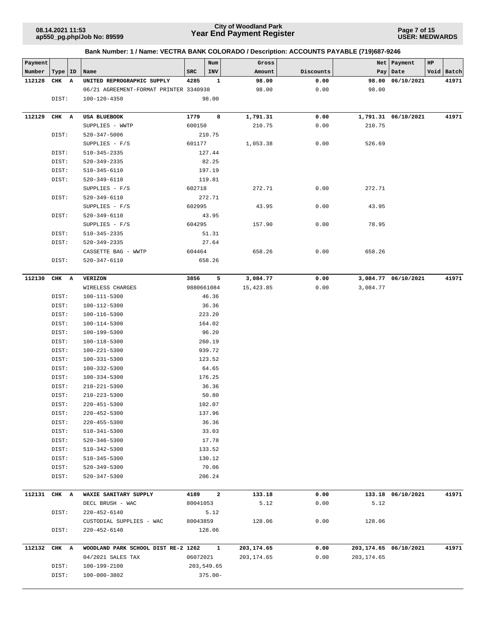## **Year End Payment Register City of Woodland Park 08.14.2021 11:53**

**Page 7 of 15 USER: MEDWARDS**

| Payment      |           |              |                                        |            | Num        | Gross       |           |            | Net   Payment         | HP |            |
|--------------|-----------|--------------|----------------------------------------|------------|------------|-------------|-----------|------------|-----------------------|----|------------|
| Number       | Type   ID |              | Name                                   | SRC        | INV        | Amount      | Discounts |            | Pay Date              |    | Void Batch |
| 112128       | CHK       | $\mathbf{A}$ | UNITED REPROGRAPHIC SUPPLY             | 4285       | 1          | 98.00       | 0.00      |            | 98.00 06/10/2021      |    | 41971      |
|              |           |              | 06/21 AGREEMENT-FORMAT PRINTER 3340938 |            |            | 98.00       | 0.00      | 98.00      |                       |    |            |
|              | DIST:     |              | 100-120-4350                           |            | 98.00      |             |           |            |                       |    |            |
|              |           |              |                                        |            |            |             |           |            |                       |    |            |
| 112129       | CHK A     |              | USA BLUEBOOK                           | 1779       | 8          | 1,791.31    | 0.00      |            | 1,791.31 06/10/2021   |    | 41971      |
|              |           |              | SUPPLIES - WWTP                        | 600150     |            | 210.75      | 0.00      | 210.75     |                       |    |            |
|              | DIST:     |              | 520-347-5006                           |            | 210.75     |             |           |            |                       |    |            |
|              |           |              | SUPPLIES $- F/S$                       | 601177     |            | 1,053.38    | 0.00      | 526.69     |                       |    |            |
|              | DIST:     |              | $510 - 345 - 2335$                     |            | 127.44     |             |           |            |                       |    |            |
|              | DIST:     |              | 520-349-2335                           |            | 82.25      |             |           |            |                       |    |            |
|              | DIST:     |              | 510-345-6110                           |            | 197.19     |             |           |            |                       |    |            |
|              | DIST:     |              | 520-349-6110                           |            | 119.81     |             |           |            |                       |    |            |
|              |           |              | $SUPPLIES - F/S$                       | 602718     |            | 272.71      | 0.00      | 272.71     |                       |    |            |
|              | DIST:     |              | 520-349-6110                           |            | 272.71     |             |           |            |                       |    |            |
|              |           |              | $SUPPLIES - F/S$                       | 602995     |            | 43.95       | 0.00      | 43.95      |                       |    |            |
|              | DIST:     |              | 520-349-6110                           |            | 43.95      |             |           |            |                       |    |            |
|              |           |              | SUPPLIES $- F/S$                       | 604295     |            | 157.90      | 0.00      | 78.95      |                       |    |            |
|              | DIST:     |              | $510 - 345 - 2335$                     |            | 51.31      |             |           |            |                       |    |            |
|              | DIST:     |              | 520-349-2335                           |            | 27.64      |             |           |            |                       |    |            |
|              |           |              | CASSETTE BAG - WWTP                    | 604464     |            | 658.26      | 0.00      | 658.26     |                       |    |            |
|              | DIST:     |              | 520-347-6110                           |            | 658.26     |             |           |            |                       |    |            |
|              |           |              |                                        |            |            |             |           |            |                       |    |            |
| 112130       | CHK A     |              | <b>VERIZON</b>                         | 3856       | $-5$       | 3,084.77    | 0.00      |            | 3,084.77 06/10/2021   |    | 41971      |
|              |           |              | WIRELESS CHARGES                       | 9880661084 |            | 15,423.85   | 0.00      | 3,084.77   |                       |    |            |
|              | DIST:     |              | 100-111-5300                           |            | 46.36      |             |           |            |                       |    |            |
|              | DIST:     |              | 100-112-5300                           |            | 36.36      |             |           |            |                       |    |            |
|              | DIST:     |              | 100-116-5300                           |            | 223.20     |             |           |            |                       |    |            |
|              | DIST:     |              | 100-114-5300                           |            | 164.02     |             |           |            |                       |    |            |
|              | DIST:     |              | 100-199-5300                           |            | 96.20      |             |           |            |                       |    |            |
|              | DIST:     |              | 100-118-5300                           |            | 260.19     |             |           |            |                       |    |            |
|              | DIST:     |              | $100 - 221 - 5300$                     |            | 939.72     |             |           |            |                       |    |            |
|              | DIST:     |              | 100-331-5300                           |            | 123.52     |             |           |            |                       |    |            |
|              | DIST:     |              | $100 - 332 - 5300$                     |            | 64.65      |             |           |            |                       |    |            |
|              | DIST:     |              | $100 - 334 - 5300$                     |            | 176.25     |             |           |            |                       |    |            |
|              | DIST:     |              | 210-221-5300                           |            | 36.36      |             |           |            |                       |    |            |
|              | DIST:     |              | 210-223-5300                           |            | 50.80      |             |           |            |                       |    |            |
|              | DIST:     |              | 220-451-5300                           |            | 102.07     |             |           |            |                       |    |            |
|              | DIST:     |              | 220-452-5300                           |            | 137.96     |             |           |            |                       |    |            |
|              | DIST:     |              | 220-455-5300                           |            | 36.36      |             |           |            |                       |    |            |
|              | DIST:     |              | 510-341-5300                           |            | 33.03      |             |           |            |                       |    |            |
|              | DIST:     |              | 520-346-5300                           |            | 17.78      |             |           |            |                       |    |            |
|              | DIST:     |              | 510-342-5300                           |            | 133.52     |             |           |            |                       |    |            |
|              | DIST:     |              | 510-345-5300                           |            | 130.12     |             |           |            |                       |    |            |
|              | DIST:     |              | 520-349-5300                           |            | 70.06      |             |           |            |                       |    |            |
|              | DIST:     |              | 520-347-5300                           |            | 206.24     |             |           |            |                       |    |            |
|              |           |              |                                        |            |            |             |           |            |                       |    |            |
| 112131 CHK A |           |              | WAXIE SANITARY SUPPLY                  | 4189 2     |            | 133.18      | 0.00      |            | 133.18 06/10/2021     |    | 41971      |
|              |           |              | DECL BRUSH - WAC                       | 80041053   |            | 5.12        | 0.00      | 5.12       |                       |    |            |
|              | DIST:     |              | 220-452-6140                           |            | 5.12       |             |           |            |                       |    |            |
|              |           |              | CUSTODIAL SUPPLIES - WAC               | 80043859   |            | 128.06      | 0.00      | 128.06     |                       |    |            |
|              | DIST:     |              | 220-452-6140                           |            | 128.06     |             |           |            |                       |    |            |
|              |           |              |                                        |            |            |             |           |            |                       |    |            |
| 112132 CHK A |           |              | WOODLAND PARK SCHOOL DIST RE-2 1262 1  |            |            | 203,174.65  | 0.00      |            | 203,174.65 06/10/2021 |    | 41971      |
|              |           |              | 04/2021 SALES TAX                      | 06072021   |            | 203, 174.65 | 0.00      | 203,174.65 |                       |    |            |
|              | DIST:     |              | 100-199-2100                           |            | 203,549.65 |             |           |            |                       |    |            |
|              | DIST:     |              | 100-000-3802                           |            | $375.00 -$ |             |           |            |                       |    |            |
|              |           |              |                                        |            |            |             |           |            |                       |    |            |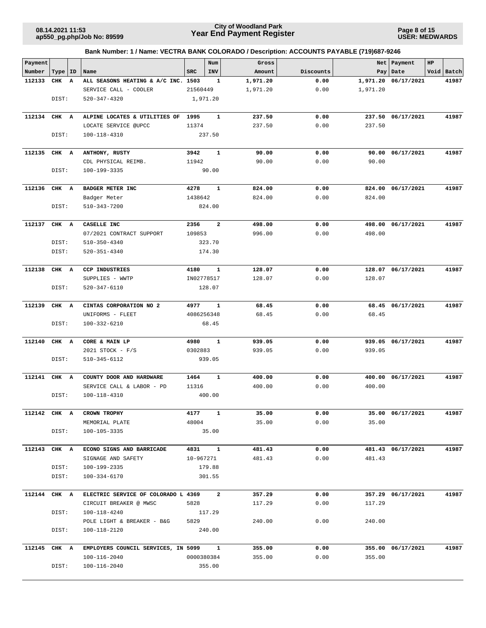## **Year End Payment Register City of Woodland Park 08.14.2021 11:53**

**Page 8 of 15 USER: MEDWARDS**

| Payment      |           |                                             |            | Num          | Gross            |              | Net              | Payment           | HP         |
|--------------|-----------|---------------------------------------------|------------|--------------|------------------|--------------|------------------|-------------------|------------|
| Number       | Type   ID | Name                                        | <b>SRC</b> | INV          | Amount           | Discounts    |                  | Pay   Date        | Void Batch |
| 112133       | CHK A     | ALL SEASONS HEATING & A/C INC. 1503         |            | $\mathbf{1}$ | 1,971.20         | 0.00         | 1,971.20         | 06/17/2021        | 41987      |
|              |           | SERVICE CALL - COOLER<br>$520 - 347 - 4320$ | 21560449   |              | 1,971.20         | 0.00         | 1,971.20         |                   |            |
|              | DIST:     |                                             |            | 1,971.20     |                  |              |                  |                   |            |
| 112134       | CHK A     | ALPINE LOCATES & UTILITIES OF 1995          |            | $\mathbf{1}$ | 237.50           | 0.00         |                  | 237.50 06/17/2021 | 41987      |
|              |           | LOCATE SERVICE @UPCC                        | 11374      |              | 237.50           | 0.00         | 237.50           |                   |            |
|              | DIST:     | 100-118-4310                                |            | 237.50       |                  |              |                  |                   |            |
|              |           |                                             |            |              |                  |              |                  |                   |            |
| 112135       | CHK A     | ANTHONY, RUSTY                              | 3942       | $\mathbf{1}$ | 90.00            | 0.00         | 90.00            | 06/17/2021        | 41987      |
|              |           | CDL PHYSICAL REIMB.                         | 11942      |              | 90.00            | 0.00         | 90.00            |                   |            |
|              | DIST:     | 100-199-3335                                |            | 90.00        |                  |              |                  |                   |            |
| 112136       | CHK A     | <b>BADGER METER INC</b>                     | 4278       | 1            | 824.00           | 0.00         | 824.00           | 06/17/2021        | 41987      |
|              |           | Badger Meter                                | 1438642    |              | 824.00           | 0.00         | 824.00           |                   |            |
|              | DIST:     | 510-343-7200                                |            | 824.00       |                  |              |                  |                   |            |
| 112137       | CHK A     |                                             | 2356       | $\mathbf{2}$ |                  |              | 498.00           |                   | 41987      |
|              |           | CASELLE INC<br>07/2021 CONTRACT SUPPORT     | 109853     |              | 498.00<br>996.00 | 0.00<br>0.00 | 498.00           | 06/17/2021        |            |
|              | DIST:     | $510 - 350 - 4340$                          |            | 323.70       |                  |              |                  |                   |            |
|              | DIST:     | 520-351-4340                                |            | 174.30       |                  |              |                  |                   |            |
|              |           |                                             |            |              |                  |              |                  |                   |            |
| 112138       | CHK A     | <b>CCP INDUSTRIES</b>                       | 4180       | 1            | 128.07           | 0.00         |                  | 128.07 06/17/2021 | 41987      |
|              |           | SUPPLIES - WWTP                             |            | IN02778517   | 128.07           | 0.00         | 128.07           |                   |            |
|              | DIST:     | 520-347-6110                                |            | 128.07       |                  |              |                  |                   |            |
| 112139       | CHK A     | CINTAS CORPORATION NO 2                     | 4977       | $\mathbf{1}$ | 68.45            | 0.00         |                  | 68.45 06/17/2021  | 41987      |
|              |           | UNIFORMS - FLEET                            | 4086256348 |              | 68.45            | 0.00         | 68.45            |                   |            |
|              | DIST:     | 100-332-6210                                |            | 68.45        |                  |              |                  |                   |            |
| 112140       | CHK A     | CORE & MAIN LP                              | 4980       | 1            | 939.05           | 0.00         |                  | 939.05 06/17/2021 | 41987      |
|              |           | 2021 STOCK - F/S                            | 0302883    |              | 939.05           | 0.00         | 939.05           |                   |            |
|              | DIST:     | 510-345-6112                                |            | 939.05       |                  |              |                  |                   |            |
|              |           | COUNTY DOOR AND HARDWARE                    | 1464       | ${\bf 1}$    |                  |              |                  |                   | 41987      |
| 112141       | CHK A     | SERVICE CALL & LABOR - PD                   | 11316      |              | 400.00<br>400.00 | 0.00<br>0.00 | 400.00<br>400.00 | 06/17/2021        |            |
|              | DIST:     | 100-118-4310                                |            | 400.00       |                  |              |                  |                   |            |
|              |           |                                             |            |              |                  |              |                  |                   |            |
| 112142 CHK A |           | CROWN TROPHY                                |            | 4177 1       | 35.00            | 0.00         |                  | 35.00 06/17/2021  | 41987      |
|              |           | MEMORIAL PLATE                              | 48004      |              | 35.00            | 0.00         | 35.00            |                   |            |
|              | DIST:     | 100-105-3335                                |            | 35.00        |                  |              |                  |                   |            |
| 112143 CHK A |           | ECONO SIGNS AND BARRICADE                   |            | 4831 1       | 481.43           | 0.00         |                  | 481.43 06/17/2021 | 41987      |
|              |           | SIGNAGE AND SAFETY                          | 10-967271  |              | 481.43           | 0.00         | 481.43           |                   |            |
|              | DIST:     | 100-199-2335                                |            | 179.88       |                  |              |                  |                   |            |
|              | DIST:     | 100-334-6170                                |            | 301.55       |                  |              |                  |                   |            |
| 112144 CHK A |           | ELECTRIC SERVICE OF COLORADO L 4369 2       |            |              | 357.29           | 0.00         |                  | 357.29 06/17/2021 | 41987      |
|              |           | CIRCUIT BREAKER @ MWSC                      | 5828       |              | 117.29           | 0.00         | 117.29           |                   |            |
|              | DIST:     | 100-118-4240                                | 117.29     |              |                  |              |                  |                   |            |
|              |           | POLE LIGHT & BREAKER - B&G                  | 5829       |              | 240.00           | 0.00         | 240.00           |                   |            |
|              | DIST:     | 100-118-2120                                |            | 240.00       |                  |              |                  |                   |            |
| 112145 CHK A |           | EMPLOYERS COUNCIL SERVICES, IN 5099 1       |            |              | 355.00           | 0.00         |                  | 355.00 06/17/2021 | 41987      |
|              |           | 100-116-2040                                |            | 0000380384   | 355.00           | 0.00         | 355.00           |                   |            |
|              | DIST:     | 100-116-2040                                |            | 355.00       |                  |              |                  |                   |            |
|              |           |                                             |            |              |                  |              |                  |                   |            |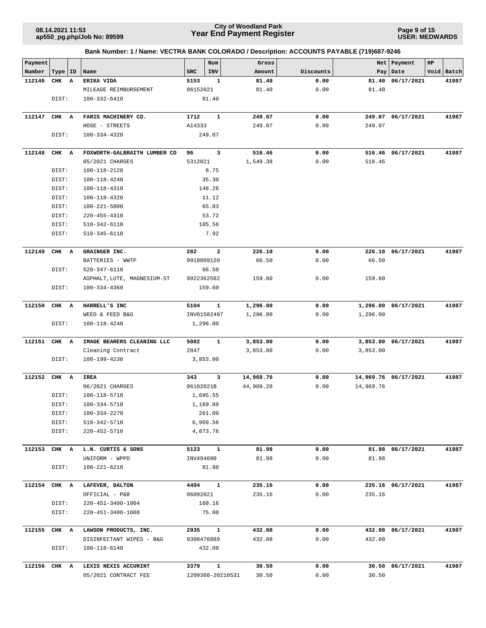### **Year End Payment Register City of Woodland Park 08.14.2021 11:53**

**Page 9 of 15 USER: MEDWARDS**

| Payment<br>Number | ID<br>Type          | Name                         | Num<br>SRC<br>INV    | Gross<br>Amount | Discounts | Net<br>Pay | Payment<br>Date      | HP<br>Void Batch |
|-------------------|---------------------|------------------------------|----------------------|-----------------|-----------|------------|----------------------|------------------|
| 112146            | CHK<br>$\mathbf{A}$ | ERIKA VIDA                   | 5153<br>1            | 81.40           | 0.00      | 81.40      | 06/17/2021           | 41987            |
|                   |                     | MILEAGE REIMBURSEMENT        | 06152021             | 81.40           | 0.00      | 81.40      |                      |                  |
|                   | DIST:               | 100-332-6410                 | 81.40                |                 |           |            |                      |                  |
|                   |                     |                              |                      |                 |           |            |                      |                  |
| 112147            | CHK A               | FARIS MACHINERY CO.          | $\mathbf{1}$<br>1712 | 249.07          | 0.00      |            | 249.07 06/17/2021    | 41987            |
|                   |                     | HOSE - STREETS               | A14333               | 249.07          | 0.00      | 249.07     |                      |                  |
|                   | DIST:               | 100-334-4320                 | 249.07               |                 |           |            |                      |                  |
| 112148            | CHK A               | FOXWORTH-GALBRAITH LUMBER CO | 3<br>96              | 516.46          | 0.00      |            | 516.46 06/17/2021    | 41987            |
|                   |                     | 05/2021 CHARGES              | 5312021              | 1,549.38        | 0.00      | 516.46     |                      |                  |
|                   | DIST:               | 100-118-2120                 | 8.75                 |                 |           |            |                      |                  |
|                   | DIST:               | 100-118-4240                 | 35.30                |                 |           |            |                      |                  |
|                   | DIST:               | 100-118-4310                 | 148.26               |                 |           |            |                      |                  |
|                   | DIST:               | 100-118-4320                 | 11.12                |                 |           |            |                      |                  |
|                   | DIST:               | 100-221-5800                 | 65.83                |                 |           |            |                      |                  |
|                   | DIST:               | 220-455-4310                 | 53.72                |                 |           |            |                      |                  |
|                   | DIST:               | 510-342-6110                 | 185.56               |                 |           |            |                      |                  |
|                   | DIST:               | 510-345-6110                 | 7.92                 |                 |           |            |                      |                  |
| 112149            | CHK A               | GRAINGER INC.                | 282<br>2             | 226.10          | 0.00      |            | 226.10 06/17/2021    | 41987            |
|                   |                     | BATTERIES - WWTP             | 9919809120           | 66.50           | 0.00      | 66.50      |                      |                  |
|                   | DIST:               | 520-347-6110                 | 66.50                |                 |           |            |                      |                  |
|                   |                     | ASPHALT, LUTE, MAGNESIUM-ST  | 9922362562           | 159.60          | 0.00      | 159.60     |                      |                  |
|                   | DIST:               | 100-334-4360                 | 159.60               |                 |           |            |                      |                  |
|                   |                     |                              |                      |                 |           |            |                      |                  |
| 112150            | CHK A               | HARRELL'S INC                | 5104<br>$\mathbf{1}$ | 1,296.00        | 0.00      |            | 1,296.00 06/17/2021  | 41987            |
|                   |                     | WEED & FEED B&G              | INV01502497          | 1,296.00        | 0.00      | 1,296.00   |                      |                  |
|                   | DIST:               | 100-118-4240                 | 1,296.00             |                 |           |            |                      |                  |
| 112151            | CHK A               | IMAGE BEARERS CLEANING LLC   | 5082<br>$\mathbf{1}$ | 3,853.00        | 0.00      |            | 3,853.00 06/17/2021  | 41987            |
|                   |                     | Cleaning Contract            | 2847                 | 3,853.00        | 0.00      | 3,853.00   |                      |                  |
|                   | DIST:               | 100-199-4230                 | 3,853.00             |                 |           |            |                      |                  |
| 112152            | CHK A               | IREA                         | 343<br>3             | 14,969.76       | 0.00      |            | 14,969.76 06/17/2021 | 41987            |
|                   |                     |                              |                      |                 | 0.00      |            |                      |                  |
|                   |                     | 06/2021 CHARGES              | 06102021B            | 44,909.28       |           | 14,969.76  |                      |                  |
|                   | DIST:<br>DIST:      | 100-118-5710                 | 1,695.55<br>1,169.89 |                 |           |            |                      |                  |
|                   |                     | 100-334-5710                 | 261.00               |                 |           |            |                      |                  |
|                   | DIST:<br>DIST:      | 100-334-2270                 | 6,969.56             |                 |           |            |                      |                  |
|                   |                     | 510-342-5710                 | 4,873.76             |                 |           |            |                      |                  |
|                   | DIST:               | 220-452-5710                 |                      |                 |           |            |                      |                  |
| 112153            | CHK A               | L.N. CURTIS & SONS           | $\mathbf{1}$<br>5123 | 81.98           | 0.00      |            | 81.98 06/17/2021     | 41987            |
|                   |                     | UNIFORM - WPPD               | INV494690            | 81.98           | 0.00      | 81.98      |                      |                  |
|                   | DIST:               | 100-221-6210                 | 81.98                |                 |           |            |                      |                  |
| 112154            | CHK A               | LAFEVER, DALTON              | 4494<br>$\mathbf{1}$ | 235.16          | 0.00      |            | 235.16 06/17/2021    | 41987            |
|                   |                     | OFFICIAL - P&R               | 06092021             | 235.16          | 0.00      | 235.16     |                      |                  |
|                   | DIST:               | 220-451-3400-1004            | 160.16               |                 |           |            |                      |                  |
|                   | DIST:               | 220-451-3400-1008            | 75.00                |                 |           |            |                      |                  |
|                   |                     |                              |                      |                 |           |            |                      |                  |
| 112155            | CHK A               | LAWSON PRODUCTS, INC.        | 2935<br>$\mathbf{1}$ | 432.08          | 0.00      |            | 432.08 06/17/2021    | 41987            |
|                   |                     | DISINFECTANT WIPES - B&G     | 9308476889           | 432.08          | 0.00      | 432.08     |                      |                  |
|                   | DIST:               | 100-118-6140                 | 432.08               |                 |           |            |                      |                  |
|                   | 112156 CHK A        | LEXIS NEXIS ACCURINT         | 3379<br>$\mathbf{1}$ | 30.50           | 0.00      |            | 30.50 06/17/2021     | 41987            |
|                   |                     | 05/2021 CONTRACT FEE         | 1209360-20210531     | 30.50           | 0.00      | 30.50      |                      |                  |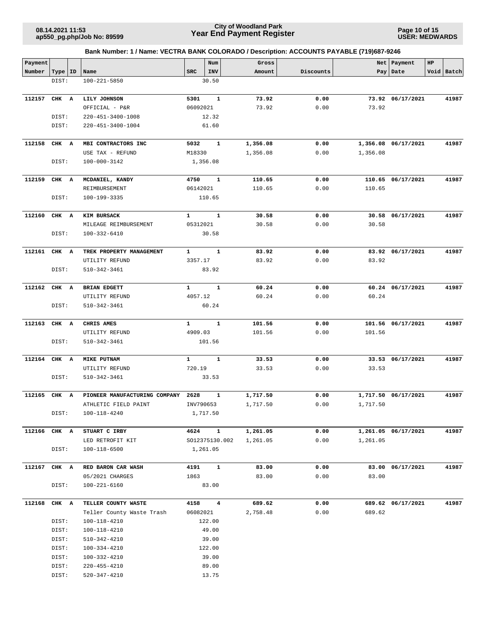**Page 10 of 15 USER: MEDWARDS**

| Payment      |           |                               |              | Num            | Gross    |           |          | Net   Payment       | HP |            |
|--------------|-----------|-------------------------------|--------------|----------------|----------|-----------|----------|---------------------|----|------------|
| Number       | Type   ID | Name                          | <b>SRC</b>   | INV            | Amount   | Discounts |          | Pay Date            |    | Void Batch |
|              | DIST:     | $100 - 221 - 5850$            |              | 30.50          |          |           |          |                     |    |            |
|              |           |                               |              |                |          |           |          |                     |    |            |
| 112157       | CHK A     | LILY JOHNSON                  | 5301         | $\mathbf{1}$   | 73.92    | 0.00      |          | 73.92 06/17/2021    |    | 41987      |
|              |           | OFFICIAL - P&R                | 06092021     |                | 73.92    | 0.00      | 73.92    |                     |    |            |
|              | DIST:     | 220-451-3400-1008             |              | 12.32          |          |           |          |                     |    |            |
|              | DIST:     | 220-451-3400-1004             |              | 61.60          |          |           |          |                     |    |            |
|              |           |                               |              |                |          |           |          |                     |    |            |
| 112158       | CHK A     | MBI CONTRACTORS INC           | 5032         | 1              | 1,356.08 | 0.00      |          | 1,356.08 06/17/2021 |    | 41987      |
|              |           | USE TAX - REFUND              | M18330       |                | 1,356.08 | 0.00      | 1,356.08 |                     |    |            |
|              | DIST:     | 100-000-3142                  |              | 1,356.08       |          |           |          |                     |    |            |
| 112159       | CHK A     | MCDANIEL, KANDY               | 4750         | 1              | 110.65   | 0.00      |          | 110.65 06/17/2021   |    | 41987      |
|              |           | REIMBURSEMENT                 | 06142021     |                | 110.65   | 0.00      | 110.65   |                     |    |            |
|              | DIST:     | 100-199-3335                  |              | 110.65         |          |           |          |                     |    |            |
| 112160       | CHK A     | KIM BURSACK                   | $\mathbf{1}$ | 1              | 30.58    | 0.00      |          | 30.58 06/17/2021    |    | 41987      |
|              |           | MILEAGE REIMBURSEMENT         | 05312021     |                | 30.58    | 0.00      | 30.58    |                     |    |            |
|              | DIST:     | 100-332-6410                  |              | 30.58          |          |           |          |                     |    |            |
|              |           |                               |              |                |          |           |          |                     |    |            |
| 112161       | CHK A     | TREK PROPERTY MANAGEMENT      | $\mathbf{1}$ | $\mathbf{1}$   | 83.92    | 0.00      |          | 83.92 06/17/2021    |    | 41987      |
|              |           | UTILITY REFUND                | 3357.17      |                | 83.92    | 0.00      | 83.92    |                     |    |            |
|              | DIST:     | 510-342-3461                  |              | 83.92          |          |           |          |                     |    |            |
| 112162       | CHK A     | BRIAN EDGETT                  | $\mathbf{1}$ | $\mathbf{1}$   | 60.24    | 0.00      |          | 60.24 06/17/2021    |    | 41987      |
|              |           | UTILITY REFUND                | 4057.12      |                | 60.24    | 0.00      | 60.24    |                     |    |            |
|              | DIST:     | 510-342-3461                  |              | 60.24          |          |           |          |                     |    |            |
|              |           |                               |              |                |          |           |          |                     |    |            |
| 112163       | CHK A     | CHRIS AMES                    | $\mathbf{1}$ | $\mathbf{1}$   | 101.56   | 0.00      |          | 101.56 06/17/2021   |    | 41987      |
|              |           | UTILITY REFUND                | 4909.03      |                | 101.56   | 0.00      | 101.56   |                     |    |            |
|              | DIST:     | 510-342-3461                  |              | 101.56         |          |           |          |                     |    |            |
| 112164       | CHK A     | <b>MIKE PUTNAM</b>            | $\mathbf{1}$ | 1              | 33.53    | 0.00      |          | 33.53 06/17/2021    |    | 41987      |
|              |           | UTILITY REFUND                | 720.19       |                | 33.53    | 0.00      | 33.53    |                     |    |            |
|              | DIST:     | 510-342-3461                  |              | 33.53          |          |           |          |                     |    |            |
| 112165 CHK A |           | PIONEER MANUFACTURING COMPANY | 2628         | 1              | 1,717.50 | 0.00      |          | 1,717.50 06/17/2021 |    | 41987      |
|              |           | ATHLETIC FIELD PAINT          | INV790653    |                | 1,717.50 | 0.00      | 1,717.50 |                     |    |            |
|              | DIST:     | 100-118-4240                  |              | 1,717.50       |          |           |          |                     |    |            |
| 112166 CHK A |           | STUART C IRBY                 | 4624         | $\mathbf{1}$   | 1,261.05 | 0.00      |          | 1,261.05 06/17/2021 |    | 41987      |
|              |           | LED RETROFIT KIT              |              | SO12375130.002 | 1,261.05 | 0.00      | 1,261.05 |                     |    |            |
|              | DIST:     | 100-118-6500                  |              | 1,261.05       |          |           |          |                     |    |            |
| 112167 CHK A |           | RED BARON CAR WASH            | 4191         | $\mathbf{1}$   | 83.00    | 0.00      |          | 83.00 06/17/2021    |    | 41987      |
|              |           | 05/2021 CHARGES               | 1863         |                | 83.00    | 0.00      | 83.00    |                     |    |            |
|              | DIST:     | 100-221-6160                  |              | 83.00          |          |           |          |                     |    |            |
|              |           |                               |              |                |          |           |          |                     |    |            |
| 112168       | CHK A     | TELLER COUNTY WASTE           | 4158         | $\overline{4}$ | 689.62   | 0.00      |          | 689.62 06/17/2021   |    | 41987      |
|              |           | Teller County Waste Trash     | 06082021     |                | 2,758.48 | 0.00      | 689.62   |                     |    |            |
|              | DIST:     | 100-118-4210                  |              | 122.00         |          |           |          |                     |    |            |
|              | DIST:     | 100-118-4210                  |              | 49.00          |          |           |          |                     |    |            |
|              | DIST:     | 510-342-4210                  |              | 39.00          |          |           |          |                     |    |            |
|              | DIST:     | 100-334-4210                  |              | 122.00         |          |           |          |                     |    |            |
|              | DIST:     | 100-332-4210                  |              | 39.00          |          |           |          |                     |    |            |
|              | DIST:     | 220-455-4210                  |              | 89.00          |          |           |          |                     |    |            |
|              | DIST:     | 520-347-4210                  |              | 13.75          |          |           |          |                     |    |            |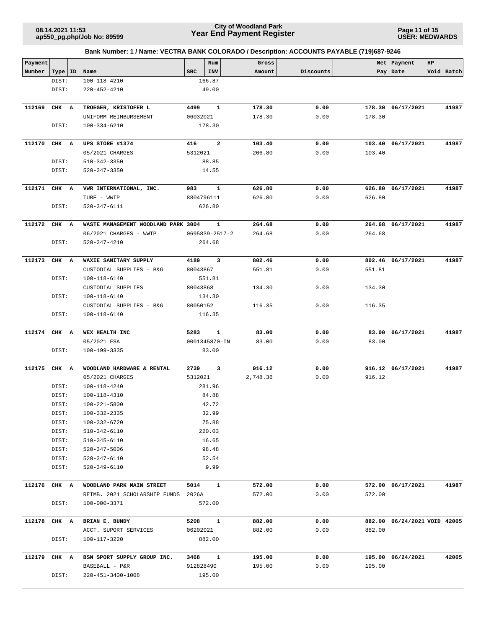### **Year End Payment Register City of Woodland Park 08.14.2021 11:53**

**Page 11 of 15 USER: MEDWARDS**

| Payment |                |                                        |            | Num                     | Gross            |              | Net    | Payment                      | HP |            |
|---------|----------------|----------------------------------------|------------|-------------------------|------------------|--------------|--------|------------------------------|----|------------|
| Number  | Type   ID      | Name                                   | <b>SRC</b> | INV                     | Amount           | Discounts    |        | Pay   Date                   |    | Void Batch |
|         | DIST:          | 100-118-4210                           |            | 166.87                  |                  |              |        |                              |    |            |
|         | DIST:          | 220-452-4210                           |            | 49.00                   |                  |              |        |                              |    |            |
|         |                |                                        |            |                         |                  |              |        |                              |    |            |
| 112169  | CHK A          | TROEGER, KRISTOFER L                   | 4499       | 1                       | 178.30           | 0.00         |        | 178.30 06/17/2021            |    | 41987      |
|         |                | UNIFORM REIMBURSEMENT                  | 06032021   |                         | 178.30           | 0.00         | 178.30 |                              |    |            |
|         | DIST:          | 100-334-6210                           |            | 178.30                  |                  |              |        |                              |    |            |
|         |                |                                        |            |                         |                  |              |        |                              |    |            |
| 112170  | CHK A          | UPS STORE #1374                        | 416        | $\overline{a}$          | 103.40           | 0.00         |        | 103.40 06/17/2021            |    | 41987      |
|         |                | 05/2021 CHARGES                        | 5312021    |                         | 206.80           | 0.00         | 103.40 |                              |    |            |
|         | DIST:          | 510-342-3350                           |            | 88.85                   |                  |              |        |                              |    |            |
|         | DIST:          | 520-347-3350                           |            | 14.55                   |                  |              |        |                              |    |            |
|         |                |                                        | 983        |                         |                  |              |        |                              |    | 41987      |
| 112171  | CHK A          | VWR INTERNATIONAL, INC.<br>TUBE - WWTP | 8804796111 | 1                       | 626.80<br>626.80 | 0.00<br>0.00 | 626.80 | 626.80 06/17/2021            |    |            |
|         | DIST:          | 520-347-6111                           |            | 626.80                  |                  |              |        |                              |    |            |
|         |                |                                        |            |                         |                  |              |        |                              |    |            |
| 112172  | CHK A          | WASTE MANAGEMENT WOODLAND PARK 3004    |            | 1                       | 264.68           | 0.00         |        | 264.68 06/17/2021            |    | 41987      |
|         |                | 06/2021 CHARGES - WWTP                 |            | 0695839-2517-2          | 264.68           | 0.00         | 264.68 |                              |    |            |
|         | DIST:          | 520-347-4210                           |            | 264.68                  |                  |              |        |                              |    |            |
|         |                |                                        |            |                         |                  |              |        |                              |    |            |
| 112173  | CHK A          | WAXIE SANITARY SUPPLY                  | 4189       | $\overline{\mathbf{3}}$ | 802.46           | 0.00         |        | 802.46 06/17/2021            |    | 41987      |
|         |                | CUSTODIAL SUPPLIES - B&G               | 80043867   |                         | 551.81           | 0.00         | 551.81 |                              |    |            |
|         | DIST:          | 100-118-6140                           |            | 551.81                  |                  |              |        |                              |    |            |
|         |                | CUSTODIAL SUPPLIES                     | 80043868   |                         | 134.30           | 0.00         | 134.30 |                              |    |            |
|         | DIST:          | 100-118-6140                           |            | 134.30                  |                  |              |        |                              |    |            |
|         |                | CUSTODIAL SUPPLIES - B&G               | 80050152   |                         | 116.35           | 0.00         | 116.35 |                              |    |            |
|         | DIST:          | 100-118-6140                           |            | 116.35                  |                  |              |        |                              |    |            |
| 112174  | CHK A          | WEX HEALTH INC                         | 5283       | $\mathbf{1}$            | 83.00            | 0.00         |        | 83.00 06/17/2021             |    | 41987      |
|         |                | 05/2021 FSA                            |            | 0001345870-IN           | 83.00            | 0.00         | 83.00  |                              |    |            |
|         | DIST:          | 100-199-3335                           |            | 83.00                   |                  |              |        |                              |    |            |
|         |                |                                        |            |                         |                  |              |        |                              |    |            |
| 112175  | CHK A          | WOODLAND HARDWARE & RENTAL             | 2739       | 3                       | 916.12           | 0.00         |        | 916.12 06/17/2021            |    | 41987      |
|         |                | 05/2021 CHARGES                        | 5312021    |                         | 2,748.36         | 0.00         | 916.12 |                              |    |            |
|         | DIST:          | 100-118-4240                           |            | 281.96                  |                  |              |        |                              |    |            |
|         | DIST:          | 100-118-4310                           |            | 84.88                   |                  |              |        |                              |    |            |
|         | DIST:          | 100-221-5800                           |            | 42.72                   |                  |              |        |                              |    |            |
|         | DIST:          | 100-332-2335                           |            | 32.99                   |                  |              |        |                              |    |            |
|         | DIST:<br>DIST: | 100-332-6720                           |            | 75.88                   |                  |              |        |                              |    |            |
|         | DIST:          | 510-342-6110<br>510-345-6110           |            | 220.03<br>16.65         |                  |              |        |                              |    |            |
|         | DIST:          | 520-347-5006                           |            | 98.48                   |                  |              |        |                              |    |            |
|         | DIST:          | 520-347-6110                           |            | 52.54                   |                  |              |        |                              |    |            |
|         | DIST:          | 520-349-6110                           |            | 9.99                    |                  |              |        |                              |    |            |
|         |                |                                        |            |                         |                  |              |        |                              |    |            |
| 112176  | CHK A          | WOODLAND PARK MAIN STREET              | 5014       | $\mathbf{1}$            | 572.00           | 0.00         |        | 572.00 06/17/2021            |    | 41987      |
|         |                | REIMB. 2021 SCHOLARSHIP FUNDS          | 2026A      |                         | 572.00           | 0.00         | 572.00 |                              |    |            |
|         | DIST:          | 100-000-3371                           |            | 572.00                  |                  |              |        |                              |    |            |
|         |                |                                        |            |                         |                  |              |        |                              |    |            |
| 112178  | CHK A          | BRIAN E. BUNDY                         | 5208       | $\mathbf{1}$            | 882.00           | 0.00         |        | 882.00 06/24/2021 VOID 42005 |    |            |
|         |                | ACCT. SUPORT SERVICES                  | 06202021   |                         | 882.00           | 0.00         | 882.00 |                              |    |            |
|         | DIST:          | 100-117-3220                           |            | 882.00                  |                  |              |        |                              |    |            |
| 112179  | CHK A          | BSN SPORT SUPPLY GROUP INC.            | 3468       | $\mathbf{1}$            | 195.00           | 0.00         |        | 195.00 06/24/2021            |    | 42005      |
|         |                | BASEBALL - P&R                         | 912828490  |                         | 195.00           | 0.00         | 195.00 |                              |    |            |
|         | DIST:          | 220-451-3400-1008                      |            | 195.00                  |                  |              |        |                              |    |            |
|         |                |                                        |            |                         |                  |              |        |                              |    |            |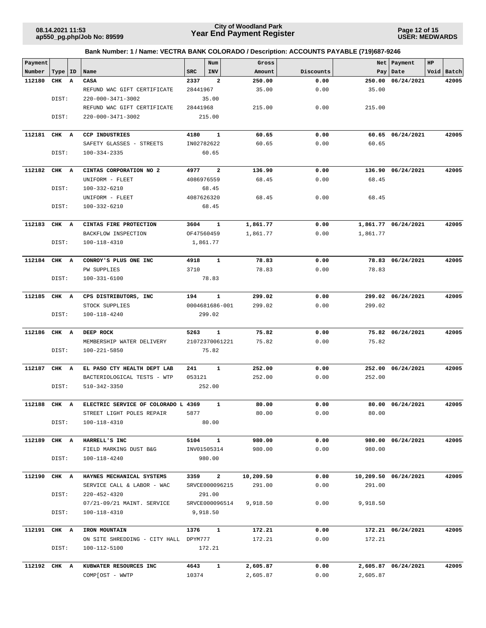**Page 12 of 15 USER: MEDWARDS**

| Payment      |           |                                       |            | Num                     | Gross     |           | Net      | Payment              | HP         |
|--------------|-----------|---------------------------------------|------------|-------------------------|-----------|-----------|----------|----------------------|------------|
| Number       | Type   ID | Name                                  | <b>SRC</b> | INV                     | Amount    | Discounts |          | Pay   Date           | Void Batch |
| 112180       | CHK A     | CASA                                  | 2337       | $\overline{a}$          | 250.00    | 0.00      | 250.00   | 06/24/2021           | 42005      |
|              |           | REFUND WAC GIFT CERTIFICATE           | 28441967   |                         | 35.00     | 0.00      | 35.00    |                      |            |
|              | DIST:     | 220-000-3471-3002                     |            | 35.00                   |           |           |          |                      |            |
|              |           | REFUND WAC GIFT CERTIFICATE           | 28441968   |                         | 215.00    | 0.00      | 215.00   |                      |            |
|              | DIST:     | 220-000-3471-3002                     |            | 215.00                  |           |           |          |                      |            |
| 112181       | CHK A     | <b>CCP INDUSTRIES</b>                 | 4180       | $\mathbf{1}$            | 60.65     | 0.00      |          | 60.65 06/24/2021     | 42005      |
|              |           | SAFETY GLASSES - STREETS              | IN02782622 |                         | 60.65     | 0.00      | 60.65    |                      |            |
|              | DIST:     | 100-334-2335                          |            | 60.65                   |           |           |          |                      |            |
| 112182       | CHK A     | CINTAS CORPORATION NO 2               | 4977       | $\overline{\mathbf{2}}$ | 136.90    | 0.00      |          | 136.90 06/24/2021    | 42005      |
|              |           | UNIFORM - FLEET                       | 4086976559 |                         | 68.45     | 0.00      | 68.45    |                      |            |
|              | DIST:     | 100-332-6210                          |            | 68.45                   |           |           |          |                      |            |
|              |           | UNIFORM - FLEET                       | 4087626320 |                         | 68.45     | 0.00      | 68.45    |                      |            |
|              | DIST:     | 100-332-6210                          |            | 68.45                   |           |           |          |                      |            |
| 112183       | CHK A     | CINTAS FIRE PROTECTION                | 3604       | 1                       | 1,861.77  | 0.00      |          | 1,861.77 06/24/2021  | 42005      |
|              |           | BACKFLOW INSPECTION                   | OF47560459 |                         | 1,861.77  | 0.00      | 1,861.77 |                      |            |
|              | DIST:     | 100-118-4310                          |            | 1,861.77                |           |           |          |                      |            |
| 112184       | CHK A     | CONROY'S PLUS ONE INC                 | 4918       | 1                       | 78.83     | 0.00      |          | 78.83 06/24/2021     | 42005      |
|              |           | <b>PW SUPPLIES</b>                    | 3710       |                         | 78.83     | 0.00      | 78.83    |                      |            |
|              | DIST:     | 100-331-6100                          |            | 78.83                   |           |           |          |                      |            |
| 112185       | CHK A     | CPS DISTRIBUTORS, INC                 | 194        | $\mathbf{1}$            | 299.02    | 0.00      |          | 299.02 06/24/2021    | 42005      |
|              |           | STOCK SUPPLIES                        |            | 0004681686-001          | 299.02    | 0.00      | 299.02   |                      |            |
|              | DIST:     | 100-118-4240                          |            | 299.02                  |           |           |          |                      |            |
| 112186       | CHK A     | DEEP ROCK                             | 5263       | $\mathbf{1}$            | 75.82     | 0.00      |          | 75.82 06/24/2021     | 42005      |
|              |           | MEMBERSHIP WATER DELIVERY             |            | 21072370061221          | 75.82     | 0.00      | 75.82    |                      |            |
|              | DIST:     | 100-221-5850                          |            | 75.82                   |           |           |          |                      |            |
| 112187       | CHK A     | EL PASO CTY HEALTH DEPT LAB           | 241        | 1                       | 252.00    | 0.00      |          | 252.00 06/24/2021    | 42005      |
|              |           | BACTERIOLOGICAL TESTS - WTP           | 053121     |                         | 252.00    | 0.00      | 252.00   |                      |            |
|              | DIST:     | 510-342-3350                          |            | 252.00                  |           |           |          |                      |            |
| 112188       | CHK A     | ELECTRIC SERVICE OF COLORADO L 4369   |            | 1                       | 80.00     | 0.00      |          | 80.00 06/24/2021     | 42005      |
|              |           | STREET LIGHT POLES REPAIR             | 5877       |                         | 80.00     | 0.00      | 80.00    |                      |            |
|              | DIST:     | 100-118-4310                          |            | 80.00                   |           |           |          |                      |            |
| 112189       | CHK A     | HARRELL'S INC                         | 5104       | $\mathbf{1}$            | 980.00    | 0.00      |          | 980.00 06/24/2021    | 42005      |
|              |           | FIELD MARKING DUST B&G                |            | INV01505314             | 980.00    | 0.00      | 980.00   |                      |            |
|              | DIST:     | 100-118-4240                          |            | 980.00                  |           |           |          |                      |            |
| 112190       | CHK A     | HAYNES MECHANICAL SYSTEMS             | 3359       | $\overline{a}$          | 10,209.50 | 0.00      |          | 10,209.50 06/24/2021 | 42005      |
|              |           | SERVICE CALL & LABOR - WAC            |            | SRVCE000096215          | 291.00    | 0.00      | 291.00   |                      |            |
|              | DIST:     | $220 - 452 - 4320$                    |            | 291.00                  |           |           |          |                      |            |
|              |           | 07/21-09/21 MAINT. SERVICE            |            | SRVCE000096514          | 9,918.50  | 0.00      | 9,918.50 |                      |            |
|              | DIST:     | 100-118-4310                          |            | 9,918.50                |           |           |          |                      |            |
| 112191 CHK A |           | IRON MOUNTAIN                         | 1376       | $\mathbf{1}$            | 172.21    | 0.00      |          | 172.21 06/24/2021    | 42005      |
|              |           | ON SITE SHREDDING - CITY HALL DPYM777 |            |                         | 172.21    | 0.00      | 172.21   |                      |            |
|              | DIST:     | 100-112-5100                          |            | 172.21                  |           |           |          |                      |            |
| 112192 CHK A |           | KUBWATER RESOURCES INC                | 4643       | $\mathbf{1}$            | 2,605.87  | 0.00      |          | 2,605.87 06/24/2021  | 42005      |
|              |           | COMP[OST - WWTP                       | 10374      |                         | 2,605.87  | 0.00      | 2,605.87 |                      |            |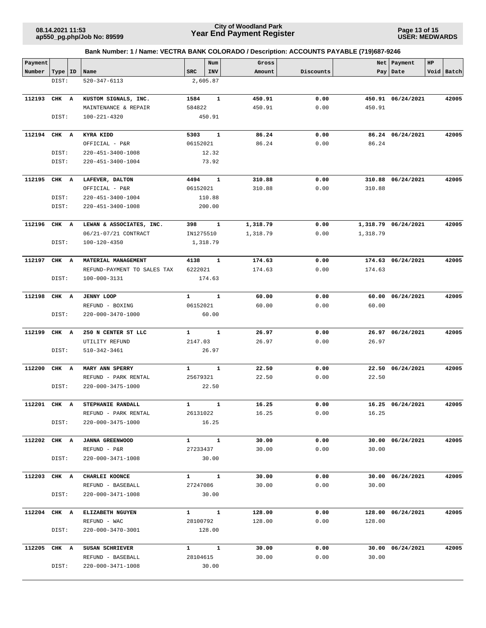**Page 13 of 15 USER: MEDWARDS**

| Payment      |           |                                   |                          | Num          | Gross          |           |          | Net   Payment       | HP |            |
|--------------|-----------|-----------------------------------|--------------------------|--------------|----------------|-----------|----------|---------------------|----|------------|
| Number       | Type   ID | Name                              | <b>SRC</b>               | INV          | Amount         | Discounts |          | Pay Date            |    | Void Batch |
|              | DIST:     | 520-347-6113                      |                          | 2,605.87     |                |           |          |                     |    |            |
| 112193       | CHK A     | KUSTOM SIGNALS, INC.              | 1584                     | 1            | 450.91         | 0.00      |          | 450.91 06/24/2021   |    | 42005      |
|              |           | MAINTENANCE & REPAIR              | 584822                   |              | 450.91         | 0.00      | 450.91   |                     |    |            |
|              | DIST:     | 100-221-4320                      |                          | 450.91       |                |           |          |                     |    |            |
|              |           |                                   |                          |              |                |           |          |                     |    |            |
| 112194       | CHK A     | KYRA KIDD                         | 5303                     | 1            | 86.24          | 0.00      |          | 86.24 06/24/2021    |    | 42005      |
|              |           | OFFICIAL - P&R                    | 06152021                 |              | 86.24          | 0.00      | 86.24    |                     |    |            |
|              | DIST:     | 220-451-3400-1008                 |                          | 12.32        |                |           |          |                     |    |            |
|              | DIST:     | 220-451-3400-1004                 | 73.92                    |              |                |           |          |                     |    |            |
| 112195       | CHK A     |                                   | 4494                     | $\mathbf{1}$ | 310.88         | 0.00      |          | 310.88 06/24/2021   |    | 42005      |
|              |           | LAFEVER, DALTON<br>OFFICIAL - P&R | 06152021                 |              | 310.88         | 0.00      | 310.88   |                     |    |            |
|              | DIST:     | 220-451-3400-1004                 |                          | 110.88       |                |           |          |                     |    |            |
|              | DIST:     | 220-451-3400-1008                 |                          | 200.00       |                |           |          |                     |    |            |
|              |           |                                   |                          |              |                |           |          |                     |    |            |
| 112196       | CHK A     | LEWAN & ASSOCIATES, INC.          | 398                      | 1            | 1,318.79       | 0.00      |          | 1,318.79 06/24/2021 |    | 42005      |
|              |           | 06/21-07/21 CONTRACT              | IN1275510                |              | 1,318.79       | 0.00      | 1,318.79 |                     |    |            |
|              | DIST:     | 100-120-4350                      |                          | 1,318.79     |                |           |          |                     |    |            |
|              |           |                                   |                          |              |                |           |          |                     |    |            |
| 112197       | CHK A     | MATERIAL MANAGEMENT               | 4138                     | $\mathbf{1}$ | 174.63         | 0.00      |          | 174.63 06/24/2021   |    | 42005      |
|              |           | REFUND-PAYMENT TO SALES TAX       | 6222021                  |              | 174.63         | 0.00      | 174.63   |                     |    |            |
|              | DIST:     | 100-000-3131                      |                          | 174.63       |                |           |          |                     |    |            |
|              |           |                                   |                          |              |                |           |          |                     |    |            |
| 112198       | CHK A     | <b>JENNY LOOP</b>                 | $\mathbf{1}$             | 1            | 60.00          | 0.00      | 60.00    | 06/24/2021          |    | 42005      |
|              |           | REFUND - BOXING                   | 06152021                 |              | 60.00          | 0.00      | 60.00    |                     |    |            |
|              | DIST:     | 220-000-3470-1000                 |                          | 60.00        |                |           |          |                     |    |            |
| 112199       | CHK A     | 250 N CENTER ST LLC               | 1                        | $\mathbf{1}$ | 26.97          | 0.00      |          | 26.97 06/24/2021    |    | 42005      |
|              |           | UTILITY REFUND                    | 2147.03                  |              | 26.97          | 0.00      | 26.97    |                     |    |            |
|              | DIST:     | 510-342-3461                      |                          | 26.97        |                |           |          |                     |    |            |
|              |           |                                   |                          |              |                |           |          |                     |    |            |
| 112200       | CHK A     | MARY ANN SPERRY                   | $\mathbf{1}$             | $\mathbf{1}$ | 22.50          | 0.00      | 22.50    | 06/24/2021          |    | 42005      |
|              |           | REFUND - PARK RENTAL              | 25679321                 |              | 22.50          | 0.00      | 22.50    |                     |    |            |
|              | DIST:     | 220-000-3475-1000                 |                          | 22.50        |                |           |          |                     |    |            |
|              |           |                                   |                          |              |                |           |          |                     |    |            |
| 112201 CHK A |           | STEPHANIE RANDALL                 | $\mathbf{1}$<br>26131022 | $\mathbf{1}$ | 16.25<br>16.25 | 0.00      | 16.25    | 16.25 06/24/2021    |    | 42005      |
|              |           | REFUND - PARK RENTAL              |                          | 16.25        |                | 0.00      |          |                     |    |            |
|              | DIST:     | 220-000-3475-1000                 |                          |              |                |           |          |                     |    |            |
| 112202 CHK A |           | <b>JANNA GREENWOOD</b>            | $1 \quad \cdots$         | $\mathbf{1}$ | 30.00          | 0.00      |          | 30.00 06/24/2021    |    | 42005      |
|              |           | REFUND - P&R                      | 27233437                 |              | 30.00          | 0.00      | 30.00    |                     |    |            |
|              | DIST:     | 220-000-3471-1008                 |                          | 30.00        |                |           |          |                     |    |            |
|              |           |                                   |                          |              |                |           |          |                     |    |            |
| 112203 CHK A |           | CHARLEI KOONCE                    | $1 \quad 1$              |              | 30.00          | 0.00      |          | 30.00 06/24/2021    |    | 42005      |
|              |           | REFUND - BASEBALL                 | 27247086                 |              | 30.00          | 0.00      | 30.00    |                     |    |            |
|              | DIST:     | 220-000-3471-1008                 |                          | 30.00        |                |           |          |                     |    |            |
| 112204 CHK A |           | ELIZABETH NGUYEN                  | $1 \quad \blacksquare$   | $\mathbf{1}$ | 128.00         | 0.00      |          | 128.00 06/24/2021   |    | 42005      |
|              |           | REFUND - WAC                      | 28100792                 |              | 128.00         | 0.00      | 128.00   |                     |    |            |
|              | DIST:     | 220-000-3470-3001                 |                          | 128.00       |                |           |          |                     |    |            |
|              |           |                                   |                          |              |                |           |          |                     |    |            |
| 112205 CHK A |           | SUSAN SCHRIEVER                   | $1 \quad 1$              |              | 30.00          | 0.00      |          | 30.00 06/24/2021    |    | 42005      |
|              |           | REFUND - BASEBALL                 | 28104615                 |              | 30.00          | 0.00      | 30.00    |                     |    |            |
|              | DIST:     | 220-000-3471-1008                 |                          | 30.00        |                |           |          |                     |    |            |
|              |           |                                   |                          |              |                |           |          |                     |    |            |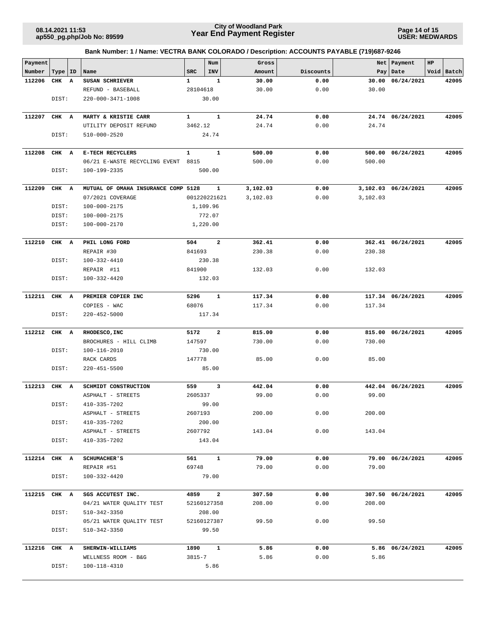## **Year End Payment Register City of Woodland Park 08.14.2021 11:53**

**Page 14 of 15 USER: MEDWARDS**

| Payment      |           |                                                |                    | Num            | Gross          |              | Net      | Payment             | HP |            |
|--------------|-----------|------------------------------------------------|--------------------|----------------|----------------|--------------|----------|---------------------|----|------------|
| Number       | Type   ID | Name                                           | <b>SRC</b>         | INV            | Amount         | Discounts    |          | Pay   Date          |    | Void Batch |
| 112206       | CHK A     | SUSAN SCHRIEVER                                | $\mathbf{1}$       | $\mathbf{1}$   | 30.00          | 0.00         | 30.00    | 06/24/2021          |    | 42005      |
|              |           | REFUND - BASEBALL                              | 28104618           |                | 30.00          | 0.00         | 30.00    |                     |    |            |
|              | DIST:     | 220-000-3471-1008                              |                    | 30.00          |                |              |          |                     |    |            |
|              |           |                                                | $\mathbf{1}$       | $\mathbf{1}$   |                |              |          |                     |    |            |
| 112207       | CHK A     | MARTY & KRISTIE CARR<br>UTILITY DEPOSIT REFUND | 3462.12            |                | 24.74<br>24.74 | 0.00<br>0.00 | 24.74    | 24.74 06/24/2021    |    | 42005      |
|              | DIST:     | 510-000-2520                                   |                    | 24.74          |                |              |          |                     |    |            |
|              |           |                                                |                    |                |                |              |          |                     |    |            |
| 112208       | CHK A     | E-TECH RECYCLERS                               | $\mathbf{1}$       | $\mathbf{1}$   | 500.00         | 0.00         |          | 500.00 06/24/2021   |    | 42005      |
|              |           | 06/21 E-WASTE RECYCLING EVENT                  | 8815               |                | 500.00         | 0.00         | 500.00   |                     |    |            |
|              | DIST:     | 100-199-2335                                   |                    | 500.00         |                |              |          |                     |    |            |
| 112209       | CHK A     | MUTUAL OF OMAHA INSURANCE COMP 5128            |                    | $\mathbf{1}$   | 3,102.03       | 0.00         |          | 3,102.03 06/24/2021 |    | 42005      |
|              |           | 07/2021 COVERAGE                               |                    | 001220221621   | 3,102.03       | 0.00         | 3,102.03 |                     |    |            |
|              | DIST:     | 100-000-2175                                   |                    | 1,109.96       |                |              |          |                     |    |            |
|              | DIST:     | 100-000-2175                                   |                    | 772.07         |                |              |          |                     |    |            |
|              | DIST:     | 100-000-2170                                   |                    | 1,220.00       |                |              |          |                     |    |            |
| 112210       | CHK A     | PHIL LONG FORD                                 | 504                | $\overline{a}$ | 362.41         | 0.00         |          |                     |    | 42005      |
|              |           | REPAIR #30                                     | 841693             |                | 230.38         | 0.00         | 230.38   | 362.41 06/24/2021   |    |            |
|              | DIST:     | 100-332-4410                                   |                    | 230.38         |                |              |          |                     |    |            |
|              |           | REPAIR #11                                     | 841900             |                | 132.03         | 0.00         | 132.03   |                     |    |            |
|              | DIST:     | $100 - 332 - 4420$                             |                    | 132.03         |                |              |          |                     |    |            |
|              |           |                                                |                    |                |                |              |          |                     |    |            |
| 112211       | CHK A     | PREMIER COPIER INC                             | 5296               | $\mathbf{1}$   | 117.34         | 0.00         |          | 117.34 06/24/2021   |    | 42005      |
|              | DIST:     | COPIES - WAC<br>$220 - 452 - 5000$             | 68076              | 117.34         | 117.34         | 0.00         | 117.34   |                     |    |            |
|              |           |                                                |                    |                |                |              |          |                     |    |            |
| 112212       | CHK A     | RHODESCO, INC                                  | 5172               | $\mathbf{2}$   | 815.00         | 0.00         |          | 815.00 06/24/2021   |    | 42005      |
|              |           | BROCHURES - HILL CLIMB                         | 147597             |                | 730.00         | 0.00         | 730.00   |                     |    |            |
|              | DIST:     | 100-116-2010                                   |                    | 730.00         |                |              |          |                     |    |            |
|              |           | RACK CARDS                                     | 147778             |                | 85.00          | 0.00         | 85.00    |                     |    |            |
|              | DIST:     | $220 - 451 - 5500$                             |                    | 85.00          |                |              |          |                     |    |            |
| 112213       | CHK A     | SCHMIDT CONSTRUCTION                           | 559                | 3              | 442.04         | 0.00         |          | 442.04 06/24/2021   |    | 42005      |
|              |           | ASPHALT - STREETS                              | 2605337            |                | 99.00          | 0.00         | 99.00    |                     |    |            |
|              | DIST:     | 410-335-7202                                   |                    | 99.00          |                |              |          |                     |    |            |
|              |           | ASPHALT - STREETS                              | 2607193            |                | 200.00         | 0.00         | 200.00   |                     |    |            |
|              | DIST:     | 410-335-7202                                   |                    | 200.00         |                |              |          |                     |    |            |
|              |           | ASPHALT - STREETS                              | 2607792            |                | 143.04         | 0.00         | 143.04   |                     |    |            |
|              | DIST:     | 410-335-7202                                   |                    | 143.04         |                |              |          |                     |    |            |
| 112214       | CHK A     | <b>SCHUMACHER'S</b>                            | 561                | $\mathbf{1}$   | 79.00          | 0.00         |          | 79.00 06/24/2021    |    | 42005      |
|              |           | REPAIR #51                                     | 69748              |                | 79.00          | 0.00         | 79.00    |                     |    |            |
|              | DIST:     | 100-332-4420                                   |                    | 79.00          |                |              |          |                     |    |            |
| 112215 CHK A |           | SGS ACCUTEST INC.                              | 4859               | $\overline{a}$ | 307.50         | 0.00         |          | 307.50 06/24/2021   |    | 42005      |
|              |           | 04/21 WATER QUALITY TEST                       |                    | 52160127358    | 208.00         | 0.00         | 208.00   |                     |    |            |
|              | DIST:     | 510-342-3350                                   |                    | 208.00         |                |              |          |                     |    |            |
|              |           | 05/21 WATER QUALITY TEST                       |                    | 52160127387    | 99.50          | 0.00         | 99.50    |                     |    |            |
|              | DIST:     | 510-342-3350                                   |                    | 99.50          |                |              |          |                     |    |            |
|              |           |                                                |                    |                |                |              |          |                     |    |            |
| 112216       | CHK A     | <b>SHERWIN-WILLIAMS</b>                        | 1890<br>$3815 - 7$ | $\mathbf{1}$   | 5.86<br>5.86   | 0.00<br>0.00 | 5.86     | 5.86 06/24/2021     |    | 42005      |
|              | DIST:     | WELLNESS ROOM - B&G                            |                    | 5.86           |                |              |          |                     |    |            |
|              |           | 100-118-4310                                   |                    |                |                |              |          |                     |    |            |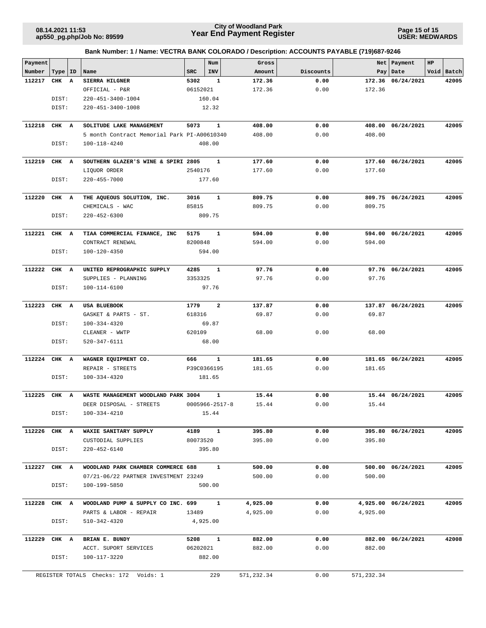## **Year End Payment Register City of Woodland Park 08.14.2021 11:53**

**Page 15 of 15 USER: MEDWARDS**

|  | Bank Number: 1 / Name: VECTRA BANK COLORADO / Description: ACCOUNTS PAYABLE (719)687-9246 |
|--|-------------------------------------------------------------------------------------------|
|  |                                                                                           |

| Payment |           |                                             |            | Num                  | Gross      |           | Net        | Payment             | HP |            |
|---------|-----------|---------------------------------------------|------------|----------------------|------------|-----------|------------|---------------------|----|------------|
| Number  | Type   ID | Name                                        | <b>SRC</b> | INV                  | Amount     | Discounts |            | Pay   Date          |    | Void Batch |
| 112217  | CHK A     | SIERRA HILGNER                              | 5302       | 1                    | 172.36     | 0.00      |            | 172.36 06/24/2021   |    | 42005      |
|         |           | OFFICIAL - P&R                              | 06152021   |                      | 172.36     | 0.00      | 172.36     |                     |    |            |
|         | DIST:     | 220-451-3400-1004                           |            | 160.04               |            |           |            |                     |    |            |
|         | DIST:     | 220-451-3400-1008                           |            | 12.32                |            |           |            |                     |    |            |
| 112218  | CHK A     | SOLITUDE LAKE MANAGEMENT                    | 5073       | $\mathbf{1}$         | 408.00     | 0.00      |            | 408.00 06/24/2021   |    | 42005      |
|         |           | 5 month Contract Memorial Park PI-A00610340 |            |                      | 408.00     | 0.00      | 408.00     |                     |    |            |
|         | DIST:     | 100-118-4240                                |            | 408.00               |            |           |            |                     |    |            |
|         |           |                                             |            |                      |            |           |            |                     |    |            |
| 112219  | CHK A     | SOUTHERN GLAZER'S WINE & SPIRI 2805         |            | 1                    | 177.60     | 0.00      |            | 177.60 06/24/2021   |    | 42005      |
|         |           | LIQUOR ORDER                                | 2540176    |                      | 177.60     | 0.00      | 177.60     |                     |    |            |
|         | DIST:     | $220 - 455 - 7000$                          |            | 177.60               |            |           |            |                     |    |            |
| 112220  | CHK A     | THE AQUEOUS SOLUTION, INC.                  | 3016       | 1                    | 809.75     | 0.00      |            | 809.75 06/24/2021   |    | 42005      |
|         |           | CHEMICALS - WAC                             | 85815      |                      | 809.75     | 0.00      | 809.75     |                     |    |            |
|         | DIST:     | $220 - 452 - 6300$                          |            | 809.75               |            |           |            |                     |    |            |
|         |           |                                             |            |                      |            |           |            |                     |    |            |
| 112221  | CHK A     | TIAA COMMERCIAL FINANCE, INC                | 5175       | 1                    | 594.00     | 0.00      |            | 594.00 06/24/2021   |    | 42005      |
|         |           | CONTRACT RENEWAL                            | 8200848    |                      | 594.00     | 0.00      | 594.00     |                     |    |            |
|         | DIST:     | 100-120-4350                                |            | 594.00               |            |           |            |                     |    |            |
| 112222  | CHK A     | UNITED REPROGRAPHIC SUPPLY                  | 4285       | 1                    | 97.76      | 0.00      |            | 97.76 06/24/2021    |    | 42005      |
|         |           | SUPPLIES - PLANNING                         | 3353325    |                      | 97.76      | 0.00      | 97.76      |                     |    |            |
|         | DIST:     | 100-114-6100                                |            | 97.76                |            |           |            |                     |    |            |
|         |           |                                             |            |                      |            |           |            |                     |    |            |
| 112223  | CHK A     | <b>USA BLUEBOOK</b>                         | 1779       | $\mathbf{2}$         | 137.87     | 0.00      |            | 137.87 06/24/2021   |    | 42005      |
|         |           | GASKET & PARTS - ST.                        | 618316     |                      | 69.87      | 0.00      | 69.87      |                     |    |            |
|         | DIST:     | 100-334-4320                                |            | 69.87                |            |           |            |                     |    |            |
|         |           | CLEANER - WWTP                              | 620109     |                      | 68.00      | 0.00      | 68.00      |                     |    |            |
|         | DIST:     | 520-347-6111                                |            | 68.00                |            |           |            |                     |    |            |
|         |           |                                             |            |                      |            |           |            |                     |    |            |
| 112224  | CHK A     | WAGNER EQUIPMENT CO.                        | 666        | $\mathbf{1}$         | 181.65     | 0.00      |            | 181.65 06/24/2021   |    | 42005      |
|         |           | REPAIR - STREETS                            |            | P39C0366195          | 181.65     | 0.00      | 181.65     |                     |    |            |
|         | DIST:     | 100-334-4320                                |            | 181.65               |            |           |            |                     |    |            |
| 112225  | CHK A     | WASTE MANAGEMENT WOODLAND PARK 3004         |            | $\mathbf{1}$         | 15.44      | 0.00      |            | 15.44 06/24/2021    |    | 42005      |
|         |           | DEER DISPOSAL - STREETS                     |            | $0005966 - 2517 - 8$ | 15.44      | 0.00      | 15.44      |                     |    |            |
|         | DIST:     | 100-334-4210                                |            | 15.44                |            |           |            |                     |    |            |
|         |           |                                             |            |                      |            |           |            |                     |    |            |
| 112226  | CHK A     | WAXIE SANITARY SUPPLY                       | 4189       | $\mathbf{1}$         | 395.80     | 0.00      |            | 395.80 06/24/2021   |    | 42005      |
|         |           | CUSTODIAL SUPPLIES                          | 80073520   |                      | 395.80     | 0.00      | 395.80     |                     |    |            |
|         | DIST:     | $220 - 452 - 6140$                          |            | 395.80               |            |           |            |                     |    |            |
| 112227  | CHK A     | WOODLAND PARK CHAMBER COMMERCE 688          |            | $\mathbf{1}$         | 500.00     | 0.00      |            | 500.00 06/24/2021   |    | 42005      |
|         |           | 07/21-06/22 PARTNER INVESTMENT 23249        |            |                      | 500.00     | 0.00      | 500.00     |                     |    |            |
|         | DIST:     | 100-199-5850                                |            | 500.00               |            |           |            |                     |    |            |
|         |           |                                             |            |                      |            |           |            |                     |    |            |
| 112228  | CHK A     | WOODLAND PUMP & SUPPLY CO INC. 699          |            | $\mathbf{1}$         | 4,925.00   | 0.00      |            | 4,925.00 06/24/2021 |    | 42005      |
|         |           | PARTS & LABOR - REPAIR                      | 13489      |                      | 4,925.00   | 0.00      | 4,925.00   |                     |    |            |
|         | DIST:     | 510-342-4320                                |            | 4,925.00             |            |           |            |                     |    |            |
|         |           |                                             |            |                      |            |           |            |                     |    |            |
| 112229  | CHK A     | BRIAN E. BUNDY                              | 5208       | $\mathbf{1}$         | 882.00     | 0.00      |            | 882.00 06/24/2021   |    | 42008      |
|         |           | ACCT. SUPORT SERVICES                       | 06202021   |                      | 882.00     | 0.00      | 882.00     |                     |    |            |
|         | DIST:     | 100-117-3220                                |            | 882.00               |            |           |            |                     |    |            |
|         |           | REGISTER TOTALS Checks: 172 Voids: 1        |            | 229                  | 571,232.34 | 0.00      | 571,232.34 |                     |    |            |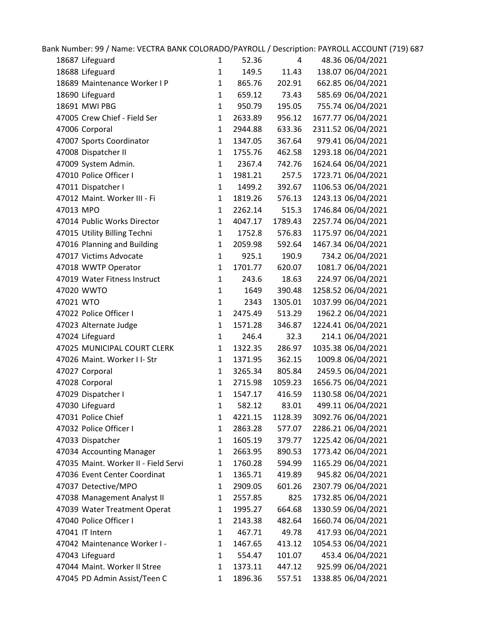| Bank Number: 99 / Name: VECTRA BANK COLORADO/PAYROLL / Description: PAYROLL ACCOUNT (719) 687 |              |         |         |                    |
|-----------------------------------------------------------------------------------------------|--------------|---------|---------|--------------------|
| 18687 Lifeguard                                                                               | $\mathbf{1}$ | 52.36   | 4       | 48.36 06/04/2021   |
| 18688 Lifeguard                                                                               | $\mathbf{1}$ | 149.5   | 11.43   | 138.07 06/04/2021  |
| 18689 Maintenance Worker I P                                                                  | $\mathbf{1}$ | 865.76  | 202.91  | 662.85 06/04/2021  |
| 18690 Lifeguard                                                                               | $\mathbf{1}$ | 659.12  | 73.43   | 585.69 06/04/2021  |
| 18691 MWI PBG                                                                                 | $\mathbf{1}$ | 950.79  | 195.05  | 755.74 06/04/2021  |
| 47005 Crew Chief - Field Ser                                                                  | $\mathbf{1}$ | 2633.89 | 956.12  | 1677.77 06/04/2021 |
| 47006 Corporal                                                                                | $\mathbf{1}$ | 2944.88 | 633.36  | 2311.52 06/04/2021 |
| 47007 Sports Coordinator                                                                      | $\mathbf{1}$ | 1347.05 | 367.64  | 979.41 06/04/2021  |
| 47008 Dispatcher II                                                                           | $\mathbf{1}$ | 1755.76 | 462.58  | 1293.18 06/04/2021 |
| 47009 System Admin.                                                                           | $\mathbf{1}$ | 2367.4  | 742.76  | 1624.64 06/04/2021 |
| 47010 Police Officer I                                                                        | $\mathbf{1}$ | 1981.21 | 257.5   | 1723.71 06/04/2021 |
| 47011 Dispatcher I                                                                            | $\mathbf{1}$ | 1499.2  | 392.67  | 1106.53 06/04/2021 |
| 47012 Maint. Worker III - Fi                                                                  | $\mathbf{1}$ | 1819.26 | 576.13  | 1243.13 06/04/2021 |
| 47013 MPO                                                                                     | $\mathbf{1}$ | 2262.14 | 515.3   | 1746.84 06/04/2021 |
| 47014 Public Works Director                                                                   | $\mathbf{1}$ | 4047.17 | 1789.43 | 2257.74 06/04/2021 |
| 47015 Utility Billing Techni                                                                  | $\mathbf{1}$ | 1752.8  | 576.83  | 1175.97 06/04/2021 |
| 47016 Planning and Building                                                                   | $\mathbf{1}$ | 2059.98 | 592.64  | 1467.34 06/04/2021 |
| 47017 Victims Advocate                                                                        | $\mathbf{1}$ | 925.1   | 190.9   | 734.2 06/04/2021   |
| 47018 WWTP Operator                                                                           | $\mathbf{1}$ | 1701.77 | 620.07  | 1081.7 06/04/2021  |
| 47019 Water Fitness Instruct                                                                  | $\mathbf{1}$ | 243.6   | 18.63   | 224.97 06/04/2021  |
| 47020 WWTO                                                                                    | $\mathbf{1}$ | 1649    | 390.48  | 1258.52 06/04/2021 |
| 47021 WTO                                                                                     | $\mathbf{1}$ | 2343    | 1305.01 | 1037.99 06/04/2021 |
| 47022 Police Officer I                                                                        | $\mathbf{1}$ | 2475.49 | 513.29  | 1962.2 06/04/2021  |
| 47023 Alternate Judge                                                                         | $\mathbf{1}$ | 1571.28 | 346.87  | 1224.41 06/04/2021 |
| 47024 Lifeguard                                                                               | $\mathbf{1}$ | 246.4   | 32.3    | 214.1 06/04/2021   |
| 47025 MUNICIPAL COURT CLERK                                                                   | $\mathbf{1}$ | 1322.35 | 286.97  | 1035.38 06/04/2021 |
| 47026 Maint. Worker I I- Str                                                                  | $\mathbf{1}$ | 1371.95 | 362.15  | 1009.8 06/04/2021  |
| 47027 Corporal                                                                                | $\mathbf{1}$ | 3265.34 | 805.84  | 2459.5 06/04/2021  |
| 47028 Corporal                                                                                | $\mathbf{1}$ | 2715.98 | 1059.23 | 1656.75 06/04/2021 |
| 47029 Dispatcher I                                                                            | $\mathbf{1}$ | 1547.17 | 416.59  | 1130.58 06/04/2021 |
| 47030 Lifeguard                                                                               | $\mathbf{1}$ | 582.12  | 83.01   | 499.11 06/04/2021  |
| 47031 Police Chief                                                                            | 1            | 4221.15 | 1128.39 | 3092.76 06/04/2021 |
| 47032 Police Officer I                                                                        | 1            | 2863.28 | 577.07  | 2286.21 06/04/2021 |
| 47033 Dispatcher                                                                              | 1            | 1605.19 | 379.77  | 1225.42 06/04/2021 |
| 47034 Accounting Manager                                                                      | 1            | 2663.95 | 890.53  | 1773.42 06/04/2021 |
| 47035 Maint. Worker II - Field Servi                                                          | 1            | 1760.28 | 594.99  | 1165.29 06/04/2021 |
| 47036 Event Center Coordinat                                                                  | 1            | 1365.71 | 419.89  | 945.82 06/04/2021  |
| 47037 Detective/MPO                                                                           | $\mathbf{1}$ | 2909.05 | 601.26  | 2307.79 06/04/2021 |
| 47038 Management Analyst II                                                                   | $\mathbf{1}$ | 2557.85 | 825     | 1732.85 06/04/2021 |
| 47039 Water Treatment Operat                                                                  | 1            | 1995.27 | 664.68  | 1330.59 06/04/2021 |
| 47040 Police Officer I                                                                        | 1            | 2143.38 | 482.64  | 1660.74 06/04/2021 |
| 47041 IT Intern                                                                               | $\mathbf{1}$ | 467.71  | 49.78   | 417.93 06/04/2021  |
| 47042 Maintenance Worker I -                                                                  | 1            | 1467.65 | 413.12  | 1054.53 06/04/2021 |
| 47043 Lifeguard                                                                               | $\mathbf{1}$ | 554.47  | 101.07  | 453.4 06/04/2021   |
| 47044 Maint. Worker II Stree                                                                  | $\mathbf{1}$ | 1373.11 | 447.12  | 925.99 06/04/2021  |
| 47045 PD Admin Assist/Teen C                                                                  | 1            | 1896.36 | 557.51  | 1338.85 06/04/2021 |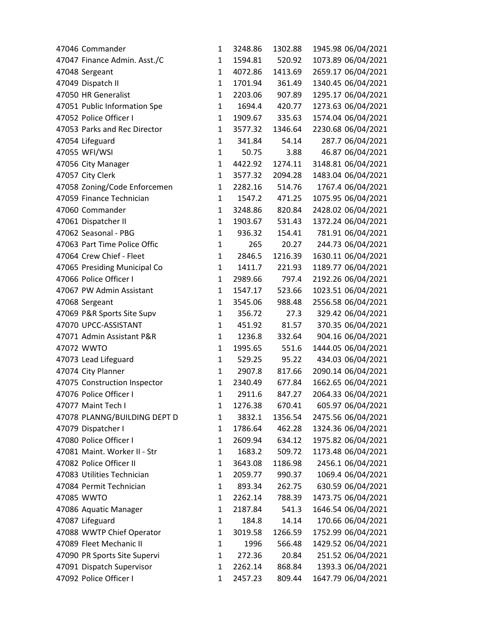| 47046 Commander              | 1            | 3248.86 | 1302.88 | 1945.98 06/04/2021 |
|------------------------------|--------------|---------|---------|--------------------|
| 47047 Finance Admin. Asst./C | 1            | 1594.81 | 520.92  | 1073.89 06/04/2021 |
| 47048 Sergeant               | $\mathbf{1}$ | 4072.86 | 1413.69 | 2659.17 06/04/2021 |
| 47049 Dispatch II            | 1            | 1701.94 | 361.49  | 1340.45 06/04/2021 |
| 47050 HR Generalist          | $\mathbf{1}$ | 2203.06 | 907.89  | 1295.17 06/04/2021 |
| 47051 Public Information Spe | 1            | 1694.4  | 420.77  | 1273.63 06/04/2021 |
| 47052 Police Officer I       | 1            | 1909.67 | 335.63  | 1574.04 06/04/2021 |
| 47053 Parks and Rec Director | $\mathbf{1}$ | 3577.32 | 1346.64 | 2230.68 06/04/2021 |
| 47054 Lifeguard              | $\mathbf{1}$ | 341.84  | 54.14   | 287.7 06/04/2021   |
| 47055 WFI/WSI                | $\mathbf{1}$ | 50.75   | 3.88    | 46.87 06/04/2021   |
| 47056 City Manager           | 1            | 4422.92 | 1274.11 | 3148.81 06/04/2021 |
| 47057 City Clerk             | $\mathbf{1}$ | 3577.32 | 2094.28 | 1483.04 06/04/2021 |
| 47058 Zoning/Code Enforcemen | $\mathbf{1}$ | 2282.16 | 514.76  | 1767.4 06/04/2021  |
| 47059 Finance Technician     | $\mathbf{1}$ | 1547.2  | 471.25  | 1075.95 06/04/2021 |
| 47060 Commander              | $\mathbf{1}$ | 3248.86 | 820.84  | 2428.02 06/04/2021 |
| 47061 Dispatcher II          | $\mathbf{1}$ | 1903.67 | 531.43  | 1372.24 06/04/2021 |
| 47062 Seasonal - PBG         | $\mathbf{1}$ | 936.32  | 154.41  | 781.91 06/04/2021  |
| 47063 Part Time Police Offic | $\mathbf{1}$ | 265     | 20.27   | 244.73 06/04/2021  |
| 47064 Crew Chief - Fleet     | $\mathbf{1}$ | 2846.5  | 1216.39 | 1630.11 06/04/2021 |
| 47065 Presiding Municipal Co | 1            | 1411.7  | 221.93  | 1189.77 06/04/2021 |
| 47066 Police Officer I       | $\mathbf{1}$ | 2989.66 | 797.4   | 2192.26 06/04/2021 |
| 47067 PW Admin Assistant     | $\mathbf{1}$ | 1547.17 | 523.66  | 1023.51 06/04/2021 |
| 47068 Sergeant               | 1            | 3545.06 | 988.48  | 2556.58 06/04/2021 |
| 47069 P&R Sports Site Supv   | $\mathbf{1}$ | 356.72  | 27.3    | 329.42 06/04/2021  |
| 47070 UPCC-ASSISTANT         | $\mathbf{1}$ | 451.92  | 81.57   | 370.35 06/04/2021  |
| 47071 Admin Assistant P&R    | $\mathbf{1}$ | 1236.8  | 332.64  | 904.16 06/04/2021  |
| 47072 WWTO                   | $\mathbf{1}$ | 1995.65 | 551.6   | 1444.05 06/04/2021 |
| 47073 Lead Lifeguard         | $\mathbf{1}$ | 529.25  | 95.22   | 434.03 06/04/2021  |
| 47074 City Planner           | $\mathbf{1}$ | 2907.8  | 817.66  | 2090.14 06/04/2021 |
| 47075 Construction Inspector | $\mathbf{1}$ | 2340.49 | 677.84  | 1662.65 06/04/2021 |
| 47076 Police Officer I       | $\mathbf{1}$ | 2911.6  | 847.27  | 2064.33 06/04/2021 |
| 47077 Maint Tech I           | 1            | 1276.38 | 670.41  | 605.97 06/04/2021  |
| 47078 PLANNG/BUILDING DEPT D | 1            | 3832.1  | 1356.54 | 2475.56 06/04/2021 |
| 47079 Dispatcher I           | $\mathbf{1}$ | 1786.64 | 462.28  | 1324.36 06/04/2021 |
| 47080 Police Officer I       | 1            | 2609.94 | 634.12  | 1975.82 06/04/2021 |
| 47081 Maint. Worker II - Str | 1            | 1683.2  | 509.72  | 1173.48 06/04/2021 |
| 47082 Police Officer II      | 1            | 3643.08 | 1186.98 | 2456.1 06/04/2021  |
| 47083 Utilities Technician   | 1            | 2059.77 | 990.37  | 1069.4 06/04/2021  |
| 47084 Permit Technician      | 1            | 893.34  | 262.75  | 630.59 06/04/2021  |
| 47085 WWTO                   | 1            | 2262.14 | 788.39  | 1473.75 06/04/2021 |
| 47086 Aquatic Manager        | $\mathbf{1}$ | 2187.84 | 541.3   | 1646.54 06/04/2021 |
| 47087 Lifeguard              | 1            | 184.8   | 14.14   | 170.66 06/04/2021  |
| 47088 WWTP Chief Operator    | $\mathbf{1}$ | 3019.58 | 1266.59 | 1752.99 06/04/2021 |
| 47089 Fleet Mechanic II      | 1            | 1996    | 566.48  | 1429.52 06/04/2021 |
| 47090 PR Sports Site Supervi | 1            | 272.36  | 20.84   | 251.52 06/04/2021  |
| 47091 Dispatch Supervisor    | $\mathbf{1}$ | 2262.14 | 868.84  | 1393.3 06/04/2021  |
| 47092 Police Officer I       | $\mathbf{1}$ | 2457.23 | 809.44  | 1647.79 06/04/2021 |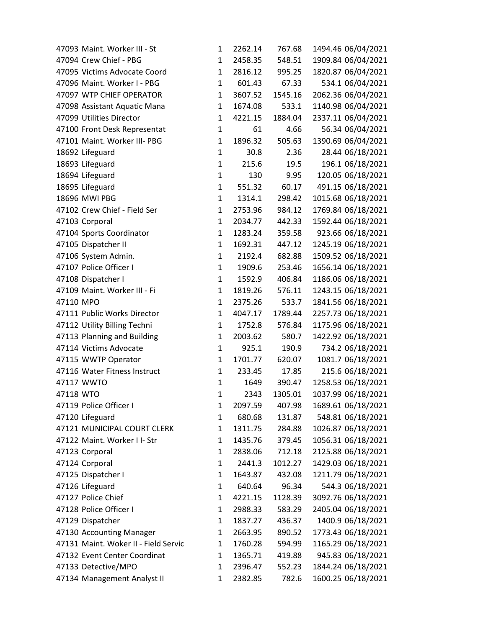|           | 47093 Maint. Worker III - St         | 1            | 2262.14 | 767.68  | 1494.46 06/04/2021 |
|-----------|--------------------------------------|--------------|---------|---------|--------------------|
|           | 47094 Crew Chief - PBG               | 1            | 2458.35 | 548.51  | 1909.84 06/04/2021 |
|           | 47095 Victims Advocate Coord         | $\mathbf{1}$ | 2816.12 | 995.25  | 1820.87 06/04/2021 |
|           | 47096 Maint. Worker I - PBG          | $\mathbf{1}$ | 601.43  | 67.33   | 534.1 06/04/2021   |
|           | 47097 WTP CHIEF OPERATOR             | 1            | 3607.52 | 1545.16 | 2062.36 06/04/2021 |
|           | 47098 Assistant Aquatic Mana         | 1            | 1674.08 | 533.1   | 1140.98 06/04/2021 |
|           | 47099 Utilities Director             | 1            | 4221.15 | 1884.04 | 2337.11 06/04/2021 |
|           | 47100 Front Desk Representat         | $\mathbf{1}$ | 61      | 4.66    | 56.34 06/04/2021   |
|           | 47101 Maint. Worker III- PBG         | 1            | 1896.32 | 505.63  | 1390.69 06/04/2021 |
|           | 18692 Lifeguard                      | $\mathbf{1}$ | 30.8    | 2.36    | 28.44 06/18/2021   |
|           | 18693 Lifeguard                      | 1            | 215.6   | 19.5    | 196.1 06/18/2021   |
|           | 18694 Lifeguard                      | 1            | 130     | 9.95    | 120.05 06/18/2021  |
|           | 18695 Lifeguard                      | $\mathbf{1}$ | 551.32  | 60.17   | 491.15 06/18/2021  |
|           | 18696 MWI PBG                        | 1            | 1314.1  | 298.42  | 1015.68 06/18/2021 |
|           | 47102 Crew Chief - Field Ser         | $\mathbf{1}$ | 2753.96 | 984.12  | 1769.84 06/18/2021 |
|           | 47103 Corporal                       | 1            | 2034.77 | 442.33  | 1592.44 06/18/2021 |
|           | 47104 Sports Coordinator             | $\mathbf{1}$ | 1283.24 | 359.58  | 923.66 06/18/2021  |
|           | 47105 Dispatcher II                  | $\mathbf{1}$ | 1692.31 | 447.12  | 1245.19 06/18/2021 |
|           | 47106 System Admin.                  | 1            | 2192.4  | 682.88  | 1509.52 06/18/2021 |
|           | 47107 Police Officer I               | $\mathbf{1}$ | 1909.6  | 253.46  | 1656.14 06/18/2021 |
|           | 47108 Dispatcher I                   | 1            | 1592.9  | 406.84  | 1186.06 06/18/2021 |
|           | 47109 Maint. Worker III - Fi         | $\mathbf{1}$ | 1819.26 | 576.11  | 1243.15 06/18/2021 |
| 47110 MPO |                                      | $\mathbf{1}$ | 2375.26 | 533.7   | 1841.56 06/18/2021 |
|           | 47111 Public Works Director          | 1            | 4047.17 | 1789.44 | 2257.73 06/18/2021 |
|           | 47112 Utility Billing Techni         | 1            | 1752.8  | 576.84  | 1175.96 06/18/2021 |
|           | 47113 Planning and Building          | $\mathbf{1}$ | 2003.62 | 580.7   | 1422.92 06/18/2021 |
|           | 47114 Victims Advocate               | $\mathbf{1}$ | 925.1   | 190.9   | 734.2 06/18/2021   |
|           | 47115 WWTP Operator                  | 1            | 1701.77 | 620.07  | 1081.7 06/18/2021  |
|           | 47116 Water Fitness Instruct         | $\mathbf{1}$ | 233.45  | 17.85   | 215.6 06/18/2021   |
|           | 47117 WWTO                           | $\mathbf{1}$ | 1649    | 390.47  | 1258.53 06/18/2021 |
| 47118 WTO |                                      | $\mathbf{1}$ | 2343    | 1305.01 | 1037.99 06/18/2021 |
|           | 47119 Police Officer I               | 1            | 2097.59 | 407.98  | 1689.61 06/18/2021 |
|           | 47120 Lifeguard                      | 1            | 680.68  | 131.87  | 548.81 06/18/2021  |
|           | 47121 MUNICIPAL COURT CLERK          | $\mathbf{1}$ | 1311.75 | 284.88  | 1026.87 06/18/2021 |
|           | 47122 Maint. Worker I I- Str         | 1            | 1435.76 | 379.45  | 1056.31 06/18/2021 |
|           | 47123 Corporal                       | 1            | 2838.06 | 712.18  | 2125.88 06/18/2021 |
|           | 47124 Corporal                       | 1            | 2441.3  | 1012.27 | 1429.03 06/18/2021 |
|           | 47125 Dispatcher I                   | $\mathbf{1}$ | 1643.87 | 432.08  | 1211.79 06/18/2021 |
|           | 47126 Lifeguard                      | $\mathbf{1}$ | 640.64  | 96.34   | 544.3 06/18/2021   |
|           | 47127 Police Chief                   | $\mathbf{1}$ | 4221.15 | 1128.39 | 3092.76 06/18/2021 |
|           | 47128 Police Officer I               | $\mathbf{1}$ | 2988.33 | 583.29  | 2405.04 06/18/2021 |
|           | 47129 Dispatcher                     | 1            | 1837.27 | 436.37  | 1400.9 06/18/2021  |
|           | 47130 Accounting Manager             | $\mathbf{1}$ | 2663.95 | 890.52  | 1773.43 06/18/2021 |
|           | 47131 Maint. Woker II - Field Servic | 1            | 1760.28 | 594.99  | 1165.29 06/18/2021 |
|           | 47132 Event Center Coordinat         | 1            | 1365.71 | 419.88  | 945.83 06/18/2021  |
|           | 47133 Detective/MPO                  | $\mathbf{1}$ | 2396.47 | 552.23  | 1844.24 06/18/2021 |
|           | 47134 Management Analyst II          | 1            | 2382.85 | 782.6   | 1600.25 06/18/2021 |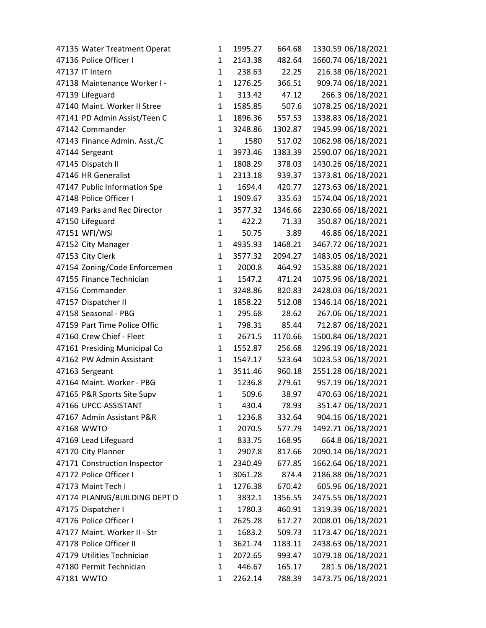| 47135 Water Treatment Operat | 1            | 1995.27 | 664.68  | 1330.59 06/18/2021 |
|------------------------------|--------------|---------|---------|--------------------|
| 47136 Police Officer I       | 1            | 2143.38 | 482.64  | 1660.74 06/18/2021 |
| 47137 IT Intern              | $\mathbf{1}$ | 238.63  | 22.25   | 216.38 06/18/2021  |
| 47138 Maintenance Worker I - | $\mathbf{1}$ | 1276.25 | 366.51  | 909.74 06/18/2021  |
| 47139 Lifeguard              | $\mathbf{1}$ | 313.42  | 47.12   | 266.3 06/18/2021   |
| 47140 Maint. Worker II Stree | $\mathbf{1}$ | 1585.85 | 507.6   | 1078.25 06/18/2021 |
| 47141 PD Admin Assist/Teen C | 1            | 1896.36 | 557.53  | 1338.83 06/18/2021 |
| 47142 Commander              | $\mathbf{1}$ | 3248.86 | 1302.87 | 1945.99 06/18/2021 |
| 47143 Finance Admin. Asst./C | $\mathbf{1}$ | 1580    | 517.02  | 1062.98 06/18/2021 |
| 47144 Sergeant               | $\mathbf{1}$ | 3973.46 | 1383.39 | 2590.07 06/18/2021 |
| 47145 Dispatch II            | $\mathbf{1}$ | 1808.29 | 378.03  | 1430.26 06/18/2021 |
| 47146 HR Generalist          | $\mathbf{1}$ | 2313.18 | 939.37  | 1373.81 06/18/2021 |
| 47147 Public Information Spe | $\mathbf{1}$ | 1694.4  | 420.77  | 1273.63 06/18/2021 |
| 47148 Police Officer I       | 1            | 1909.67 | 335.63  | 1574.04 06/18/2021 |
| 47149 Parks and Rec Director | $\mathbf{1}$ | 3577.32 | 1346.66 | 2230.66 06/18/2021 |
| 47150 Lifeguard              | 1            | 422.2   | 71.33   | 350.87 06/18/2021  |
| 47151 WFI/WSI                | $\mathbf{1}$ | 50.75   | 3.89    | 46.86 06/18/2021   |
| 47152 City Manager           | $\mathbf{1}$ | 4935.93 | 1468.21 | 3467.72 06/18/2021 |
| 47153 City Clerk             | 1            | 3577.32 | 2094.27 | 1483.05 06/18/2021 |
| 47154 Zoning/Code Enforcemen | $\mathbf{1}$ | 2000.8  | 464.92  | 1535.88 06/18/2021 |
| 47155 Finance Technician     | $\mathbf{1}$ | 1547.2  | 471.24  | 1075.96 06/18/2021 |
| 47156 Commander              | $\mathbf{1}$ | 3248.86 | 820.83  | 2428.03 06/18/2021 |
| 47157 Dispatcher II          | $\mathbf{1}$ | 1858.22 | 512.08  | 1346.14 06/18/2021 |
| 47158 Seasonal - PBG         | $\mathbf{1}$ | 295.68  | 28.62   | 267.06 06/18/2021  |
| 47159 Part Time Police Offic | $\mathbf{1}$ | 798.31  | 85.44   | 712.87 06/18/2021  |
| 47160 Crew Chief - Fleet     | 1            | 2671.5  | 1170.66 | 1500.84 06/18/2021 |
| 47161 Presiding Municipal Co | $\mathbf{1}$ | 1552.87 | 256.68  | 1296.19 06/18/2021 |
| 47162 PW Admin Assistant     | 1            | 1547.17 | 523.64  | 1023.53 06/18/2021 |
| 47163 Sergeant               | $\mathbf{1}$ | 3511.46 | 960.18  | 2551.28 06/18/2021 |
| 47164 Maint. Worker - PBG    | 1            | 1236.8  | 279.61  | 957.19 06/18/2021  |
| 47165 P&R Sports Site Supv   | $\mathbf{1}$ | 509.6   | 38.97   | 470.63 06/18/2021  |
| 47166 UPCC-ASSISTANT         | 1            | 430.4   | 78.93   | 351.47 06/18/2021  |
| 47167 Admin Assistant P&R    | 1            | 1236.8  | 332.64  | 904.16 06/18/2021  |
| 47168 WWTO                   | $\mathbf{1}$ | 2070.5  | 577.79  | 1492.71 06/18/2021 |
| 47169 Lead Lifeguard         | 1            | 833.75  | 168.95  | 664.8 06/18/2021   |
| 47170 City Planner           | $\mathbf{1}$ | 2907.8  | 817.66  | 2090.14 06/18/2021 |
| 47171 Construction Inspector | 1            | 2340.49 | 677.85  | 1662.64 06/18/2021 |
| 47172 Police Officer I       | $\mathbf{1}$ | 3061.28 | 874.4   | 2186.88 06/18/2021 |
| 47173 Maint Tech I           | 1            | 1276.38 | 670.42  | 605.96 06/18/2021  |
| 47174 PLANNG/BUILDING DEPT D | 1            | 3832.1  | 1356.55 | 2475.55 06/18/2021 |
| 47175 Dispatcher I           | $\mathbf{1}$ | 1780.3  | 460.91  | 1319.39 06/18/2021 |
| 47176 Police Officer I       | 1            | 2625.28 | 617.27  | 2008.01 06/18/2021 |
| 47177 Maint. Worker II - Str | $\mathbf{1}$ | 1683.2  | 509.73  | 1173.47 06/18/2021 |
| 47178 Police Officer II      | 1            | 3621.74 | 1183.11 | 2438.63 06/18/2021 |
| 47179 Utilities Technician   | 1            | 2072.65 | 993.47  | 1079.18 06/18/2021 |
| 47180 Permit Technician      | 1            | 446.67  | 165.17  | 281.5 06/18/2021   |
| 47181 WWTO                   | 1            | 2262.14 | 788.39  | 1473.75 06/18/2021 |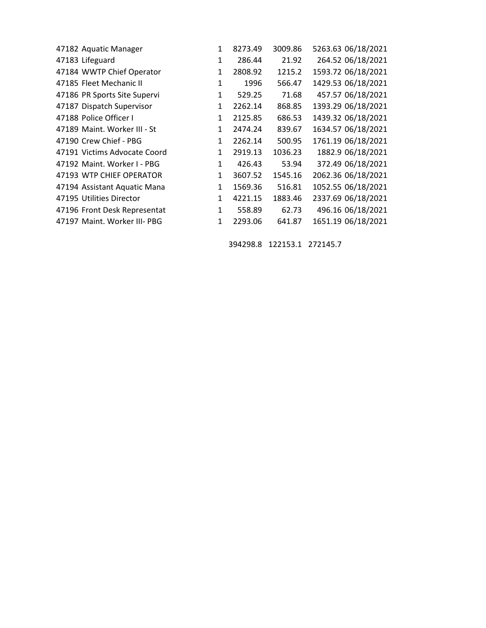| 47182 Aquatic Manager    |                              | 1            | 8273.49 | 3009.86 | 5263.63 06/18/2021 |
|--------------------------|------------------------------|--------------|---------|---------|--------------------|
| 47183 Lifeguard          |                              | 1            | 286.44  | 21.92   | 264.52 06/18/2021  |
|                          | 47184 WWTP Chief Operator    | $\mathbf{1}$ | 2808.92 | 1215.2  | 1593.72 06/18/2021 |
| 47185 Fleet Mechanic II  |                              | 1            | 1996    | 566.47  | 1429.53 06/18/2021 |
|                          | 47186 PR Sports Site Supervi | 1            | 529.25  | 71.68   | 457.57 06/18/2021  |
|                          | 47187 Dispatch Supervisor    | $\mathbf{1}$ | 2262.14 | 868.85  | 1393.29 06/18/2021 |
| 47188 Police Officer I   |                              | 1            | 2125.85 | 686.53  | 1439.32 06/18/2021 |
|                          | 47189 Maint. Worker III - St | 1            | 2474.24 | 839.67  | 1634.57 06/18/2021 |
| 47190 Crew Chief - PBG   |                              | $\mathbf{1}$ | 2262.14 | 500.95  | 1761.19 06/18/2021 |
|                          | 47191 Victims Advocate Coord | $\mathbf{1}$ | 2919.13 | 1036.23 | 1882.9 06/18/2021  |
|                          | 47192 Maint. Worker I - PBG  | 1            | 426.43  | 53.94   | 372.49 06/18/2021  |
|                          | 47193 WTP CHIEF OPERATOR     | $\mathbf{1}$ | 3607.52 | 1545.16 | 2062.36 06/18/2021 |
|                          | 47194 Assistant Aquatic Mana | $\mathbf{1}$ | 1569.36 | 516.81  | 1052.55 06/18/2021 |
| 47195 Utilities Director |                              | 1            | 4221.15 | 1883.46 | 2337.69 06/18/2021 |
|                          | 47196 Front Desk Representat | 1            | 558.89  | 62.73   | 496.16 06/18/2021  |
|                          | 47197 Maint. Worker III- PBG | 1            | 2293.06 | 641.87  | 1651.19 06/18/2021 |
|                          |                              |              |         |         |                    |

394298.8 122153.1 272145.7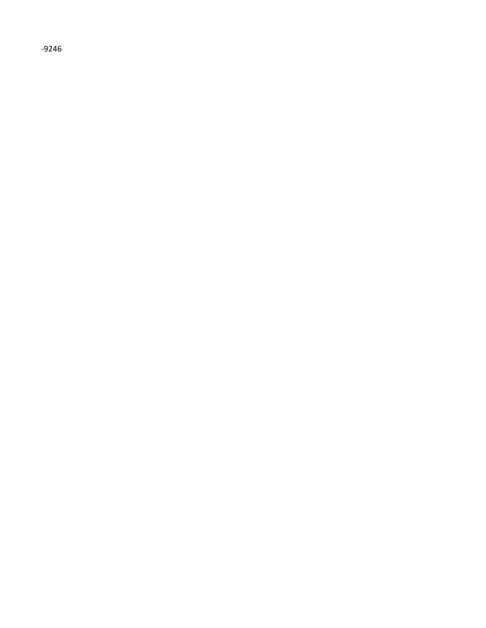$-9246$